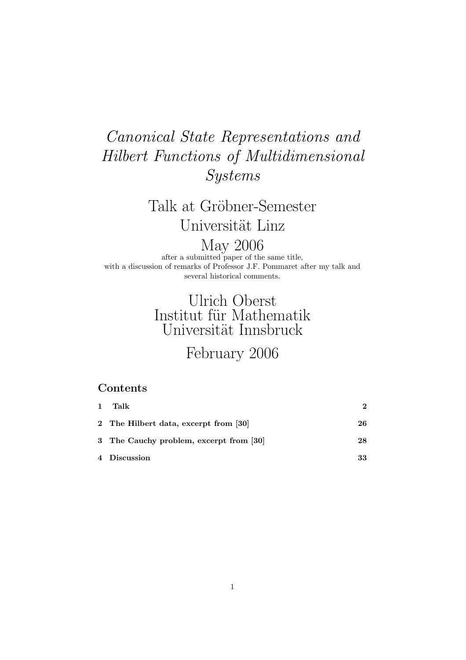## Canonical State Representations and Hilbert Functions of Multidimensional Systems

# Talk at Gröbner-Semester Universität Linz

May 2006

after a submitted paper of the same title, with a discussion of remarks of Professor J.F. Pommaret after my talk and several historical comments.

### Ulrich Oberst Institut für Mathematik Universität Innsbruck

### February 2006

### Contents

| 1 | Talk                                    | 2  |
|---|-----------------------------------------|----|
|   | 2 The Hilbert data, excerpt from [30]   | 26 |
|   | 3 The Cauchy problem, excerpt from [30] | 28 |
|   | 4 Discussion                            | 33 |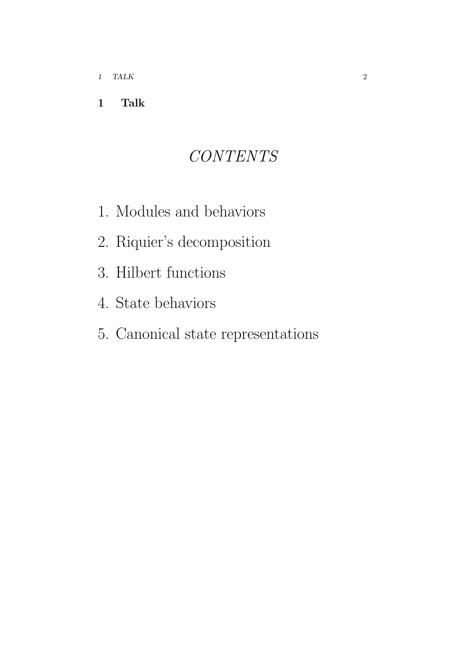### 1 Talk

# CONTENTS

- 1. Modules and behaviors
- 2. Riquier's decomposition
- 3. Hilbert functions
- 4. State behaviors
- 5. Canonical state representations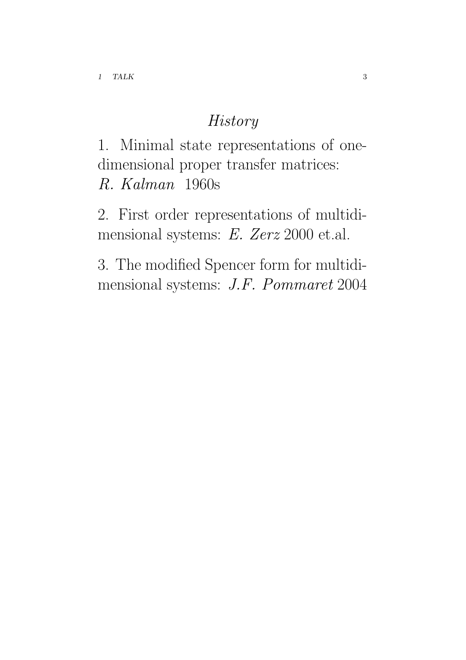### **History**

1. Minimal state representations of onedimensional proper transfer matrices: R. Kalman 1960s

2. First order representations of multidimensional systems: E. Zerz 2000 et.al.

3. The modified Spencer form for multidimensional systems: J.F. Pommaret 2004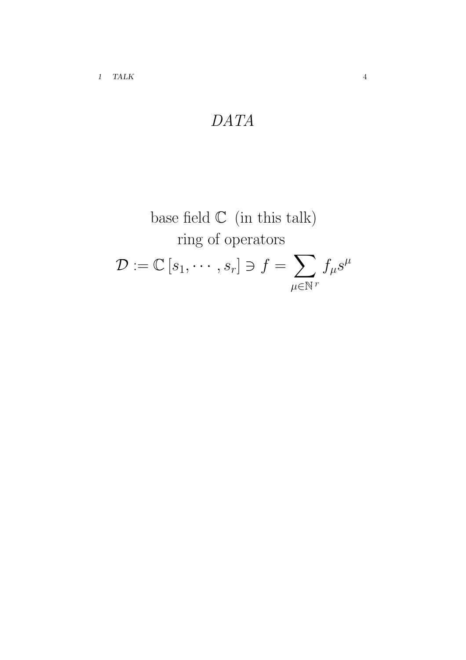$$
DATA
$$

base field C (in this talk)  
ring of operators  

$$
\mathcal{D} := \mathbb{C}[s_1, \cdots, s_r] \ni f = \sum_{\mu \in \mathbb{N}^r} f_{\mu} s^{\mu}
$$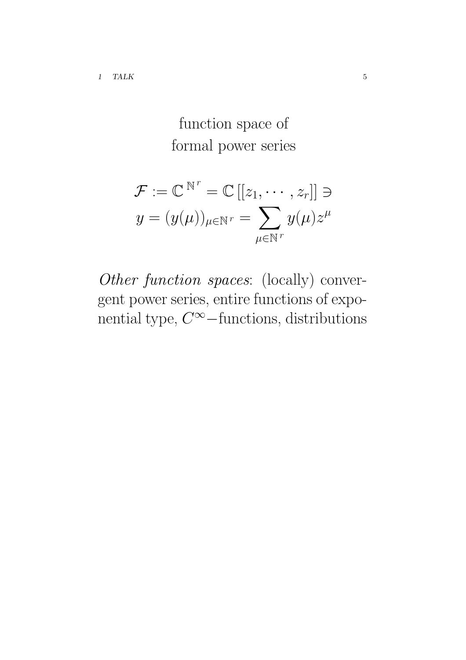# function space of formal power series

$$
\mathcal{F} := \mathbb{C}^{N^r} = \mathbb{C} [[z_1, \cdots, z_r]] \ni
$$
  

$$
y = (y(\mu))_{\mu \in \mathbb{N}^r} = \sum_{\mu \in \mathbb{N}^r} y(\mu) z^{\mu}
$$

Other function spaces: (locally) convergent power series, entire functions of exponential type,  $C^{\infty}$  – functions, distributions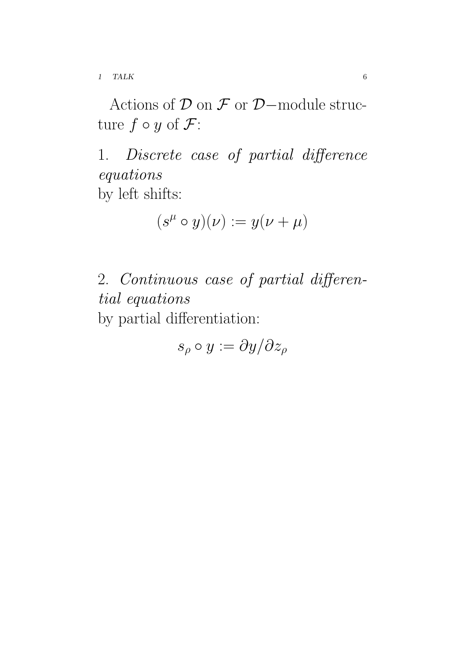1 TALK 6

Actions of  $\mathcal D$  on  $\mathcal F$  or  $\mathcal D$ -module structure  $f \circ y$  of  $\mathcal{F}$ :

1. Discrete case of partial difference equations by left shifts:

$$
(s^\mu\circ y)(\nu):=y(\nu+\mu)
$$

2. Continuous case of partial differential equations by partial differentiation:

 $s_{\rho} \circ y := \partial y / \partial z_{\rho}$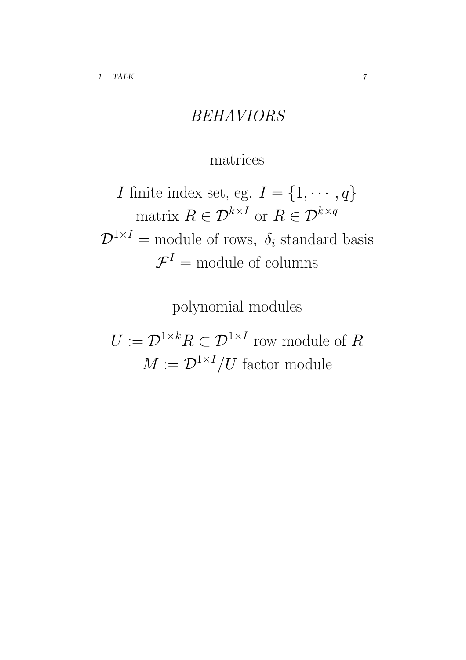## BEHAVIORS

### matrices

*I* finite index set, eg.  $I = \{1, \dots, q\}$ matrix  $R \in \mathcal{D}^{k \times I}$  or  $R \in \mathcal{D}^{k \times q}$  $\mathcal{D}^{1\times I}$  = module of rows,  $\delta_i$  standard basis  $\mathcal{F}^{I} = \text{module of columns}$ 

polynomial modules

 $U:=\mathcal{D}^{1\times k}R\subset\mathcal{D}^{1\times I}$  row module of  $R$  $M := \mathcal{D}^{1 \times I} / U$  factor module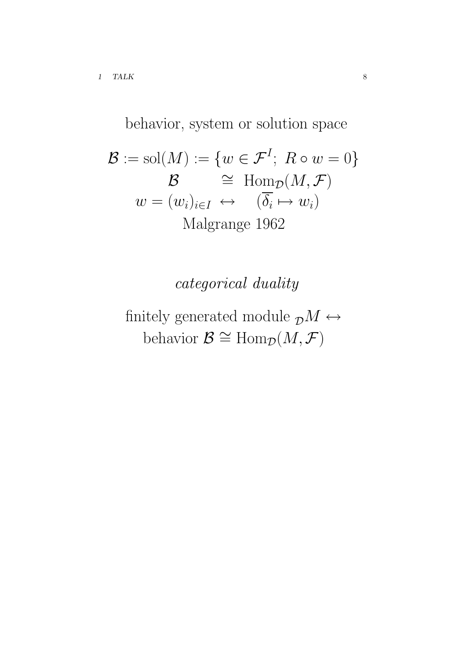behavior, system or solution space

$$
\mathcal{B} := \text{sol}(M) := \{w \in \mathcal{F}^I; \ R \circ w = 0\}
$$

$$
\mathcal{B} \cong \text{Hom}_{\mathcal{D}}(M, \mathcal{F})
$$

$$
w = (w_i)_{i \in I} \leftrightarrow (\overline{\delta_i} \mapsto w_i)
$$

$$
\text{Malgrange 1962}
$$

categorical duality

finitely generated module  ${}_{\mathcal{D}}\mathcal{M} \hookrightarrow$ behavior  $\mathcal{B} \cong \text{Hom}_{\mathcal{D}}(M, \mathcal{F})$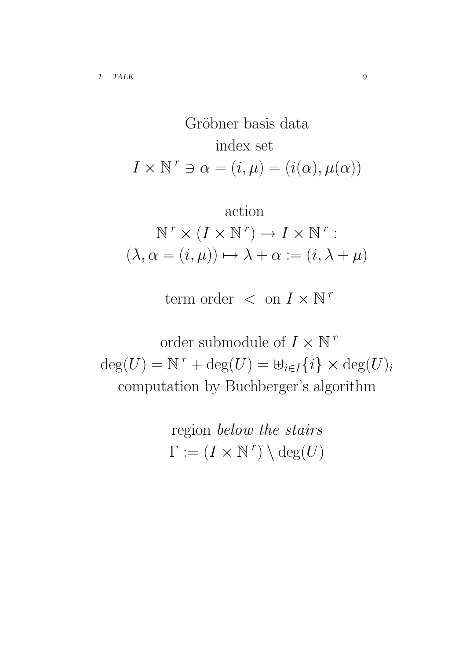Gröbner basis data  
index set  

$$
I \times \mathbb{N}^r \ni \alpha = (i, \mu) = (i(\alpha), \mu(\alpha))
$$

action  
\n
$$
\text{action}
$$
\n
$$
\mathbb{N}^r \times (I \times \mathbb{N}^r) \to I \times \mathbb{N}^r:
$$
\n
$$
(\lambda, \alpha = (i, \mu)) \mapsto \lambda + \alpha := (i, \lambda + \mu)
$$

term order  $\langle$  on  $I \times N^r$ 

order submodule of  $I \times \mathbb{N}^r$  $deg(U) = N^r + deg(U) = \biguplus_{i \in I} \{i\} \times deg(U)_i$ computation by Buchberger's algorithm

> region below the stairs  $\Gamma := (I \times \mathbb{N}^r) \setminus \deg(U)$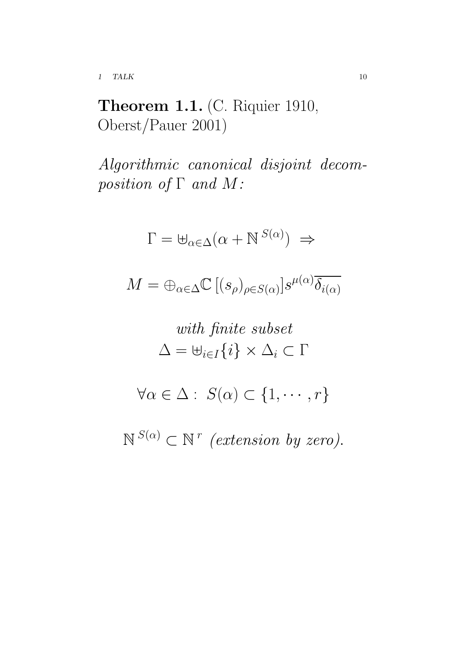1 TALK 10

Theorem 1.1. (C. Riquier 1910, Oberst/Pauer 2001)

Algorithmic canonical disjoint decomposition of  $\Gamma$  and  $M$ :

$$
\Gamma = \biguplus_{\alpha \in \Delta} (\alpha + \mathbb{N}^{S(\alpha)}) \Rightarrow
$$
  
\n
$$
M = \biguplus_{\alpha \in \Delta} \mathbb{C} \left[ (s_{\rho})_{\rho \in S(\alpha)} \right] s^{\mu(\alpha)} \overline{\delta_{i(\alpha)}}
$$
  
\nwith finite subset  
\n
$$
\Delta = \biguplus_{i \in I} \{i\} \times \Delta_i \subset \Gamma
$$
  
\n
$$
\forall \alpha \in \Delta : S(\alpha) \subset \{1, \cdots, r\}
$$
  
\n
$$
\mathbb{N}^{S(\alpha)} \subset \mathbb{N}^r \text{ (extension by zero).}
$$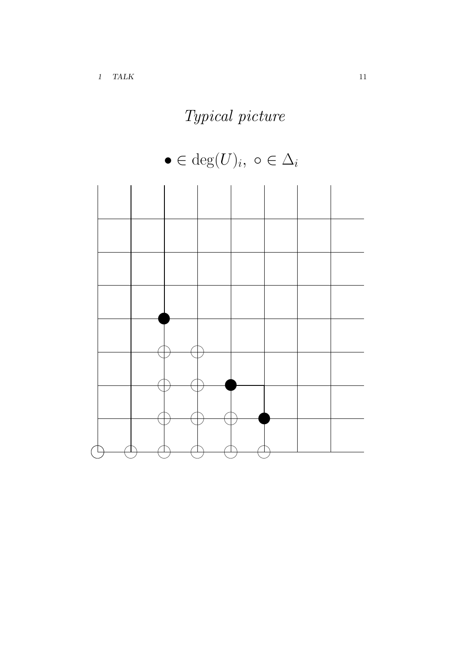# Typical picture



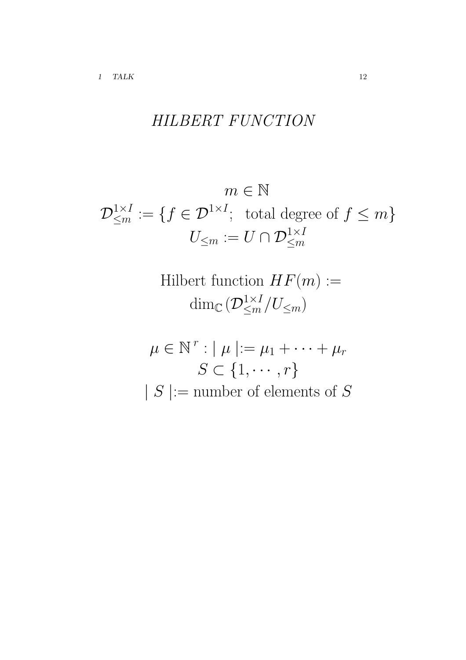## HILBERT FUNCTION

$$
m \in \mathbb{N}
$$
  

$$
\mathcal{D}_{\leq m}^{1 \times I} := \{ f \in \mathcal{D}^{1 \times I}; \text{ total degree of } f \leq m \}
$$
  

$$
U_{\leq m} := U \cap \mathcal{D}_{\leq m}^{1 \times I}
$$

Hilbert function  $HF(m) :=$  $\dim_\mathbb{C} ( \mathcal{D}^{1\times I}_{\leq m}/U_{\leq m})$ 

$$
\mu \in \mathbb{N}^r : |\mu| := \mu_1 + \dots + \mu_r
$$

$$
S \subset \{1, \dots, r\}
$$

$$
|S| := \text{number of elements of } S
$$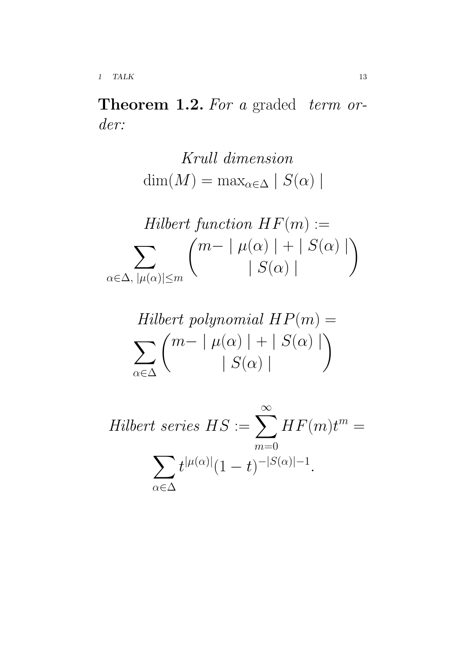Theorem 1.2. For a graded term order:

> Krull dimension dim $(M)$  = max<sub> $\alpha \in \Delta$ </sub> |  $S(\alpha)$  |

$$
Hilbert function HF(m) :=
$$
  

$$
\sum_{\alpha \in \Delta, |\mu(\alpha)| \le m} {m - |\mu(\alpha)| + |S(\alpha)|}
$$

$$
Hilbert polynomial HP(m) =
$$
  

$$
\sum_{\alpha \in \Delta} \binom{m - |\mu(\alpha)| + |S(\alpha)|}{|S(\alpha)|}
$$

Hilbert series 
$$
HS := \sum_{m=0}^{\infty} HF(m)t^m =
$$
  

$$
\sum_{\alpha \in \Delta} t^{|\mu(\alpha)|} (1-t)^{-|S(\alpha)|-1}.
$$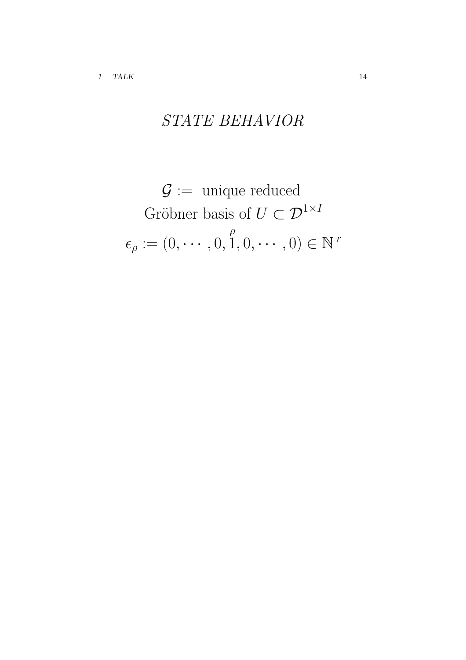# STATE BEHAVIOR

$$
G := \text{unique reduced}
$$
  
Gröbner basis of  $U \subset \mathcal{D}^{1 \times I}$   

$$
\epsilon_{\rho} := (0, \cdots, 0, \stackrel{\rho}{1}, 0, \cdots, 0) \in \mathbb{N}^r
$$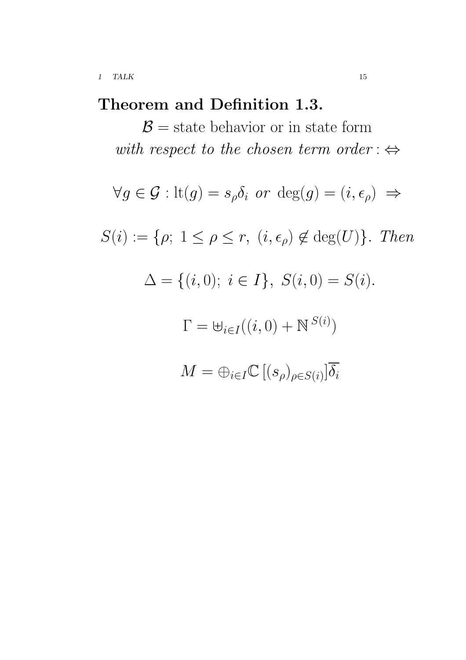## Theorem and Definition 1.3.

 $\mathcal{B}$  = state behavior or in state form with respect to the chosen term order :  $\Leftrightarrow$ 

$$
\forall g \in \mathcal{G} : \text{lt}(g) = s_{\rho} \delta_i \text{ or } \text{deg}(g) = (i, \epsilon_{\rho}) \implies
$$
  

$$
S(i) := \{ \rho; 1 \le \rho \le r, \ (i, \epsilon_{\rho}) \notin \text{deg}(U) \}. \text{ Then}
$$
  

$$
\Delta = \{ (i, 0); \ i \in I \}, \ S(i, 0) = S(i).
$$
  

$$
\Gamma = \biguplus_{i \in I} ((i, 0) + \mathbb{N}^{S(i)})
$$
  

$$
M = \biguplus_{i \in I} \mathbb{C} \left[ (s_{\rho})_{\rho \in S(i)} \right] \overline{\delta_i}
$$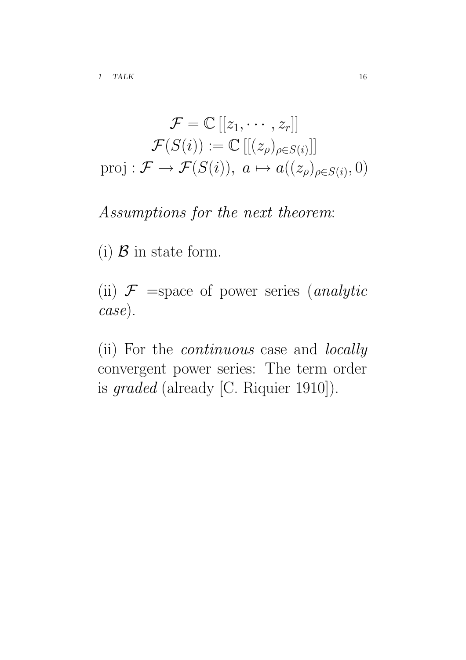$$
\mathcal{F} = \mathbb{C}[[z_1, \cdots, z_r]]
$$

$$
\mathcal{F}(S(i)) := \mathbb{C}[[(z_\rho)_{\rho \in S(i)}]]
$$
proj:  $\mathcal{F} \to \mathcal{F}(S(i)), \ a \mapsto a((z_\rho)_{\rho \in S(i)}, 0)$ 

### Assumptions for the next theorem:

(i)  $\beta$  in state form.

(ii)  $\mathcal{F}$  =space of power series (*analytic* case).

(ii) For the continuous case and locally convergent power series: The term order is graded (already [C. Riquier 1910]).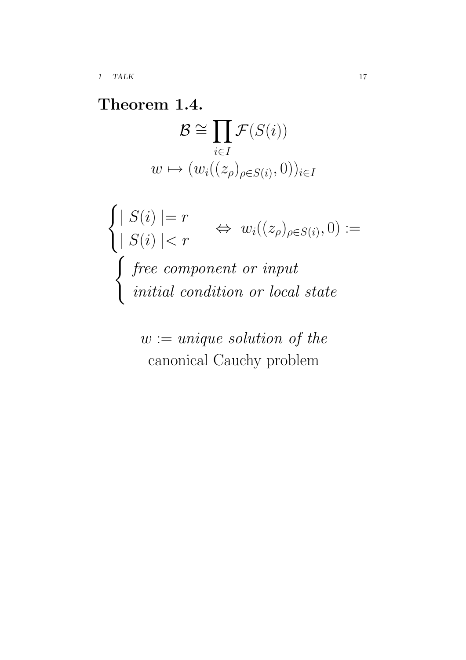Theorem 1.4.  $\mathcal{B} \cong$  $\overline{y}$ i∈I  $\mathcal{F}(S(i))$  $w \mapsto (w_i((z_\rho)_{\rho \in S(i)}, 0))_{i \in I}$ 

$$
\begin{cases}\n| S(i) | = r & \Leftrightarrow w_i((z_\rho)_{\rho \in S(i)}, 0) := \\
| S(i) | < r & \text{if } i \leq j \text{ for } i \in \mathbb{Z} \text{ and } j \text{ for } i \in \mathbb{Z} \text{ and } j \text{ for } i \in \mathbb{Z} \text{ and } j \text{ for } i \in \mathbb{Z} \text{ and } j \text{ for } i \in \mathbb{Z} \text{ and } j \text{ for } i \in \mathbb{Z} \text{ and } j \text{ for } i \in \mathbb{Z} \text{ and } j \text{ for } i \in \mathbb{Z} \text{ and } j \text{ for } i \in \mathbb{Z} \text{ and } j \text{ for } i \in \mathbb{Z} \text{ and } j \text{ for } i \in \mathbb{Z} \text{ and } j \text{ for } i \in \mathbb{Z} \text{ and } j \text{ for } i \in \mathbb{Z} \text{ and } j \text{ for } i \in \mathbb{Z} \text{ and } j \text{ for } i \in \mathbb{Z} \text{ and } j \text{ for } i \in \mathbb{Z} \text{ and } j \text{ for } i \in \mathbb{Z} \text{ and } j \text{ for } i \in \mathbb{Z} \text{ and } j \text{ for } i \in \mathbb{Z} \text{ and } j \text{ for } i \in \mathbb{Z} \text{ and } j \text{ for } i \in \mathbb{Z} \text{ and } j \text{ for } i \in \mathbb{Z} \text{ and } j \text{ for } i \in \mathbb{Z} \text{ and } j \text{ for } i \in \mathbb{Z} \text{ and } j \text{ for } i \in \mathbb{Z} \text{ and } j \text{ for } i \in \mathbb{Z} \text{ and } j \text{ for } i \in \mathbb{Z} \text{ and } j \text{ for } i \in \mathbb{Z} \text{ and } j \text{ for } i \in \mathbb{Z} \text{ and } j \text{ for } i \in \mathbb{Z} \text{ and } j \text{ for } i \in \mathbb{Z} \text{ and } j \text{ for } i \in \mathbb{Z} \text{ and } j \text{ for } i \in \mathbb{Z} \text{ and } j \text{ for } i \in \mathbb{Z} \text{ and } j \text{ for } i \in \mathbb{Z} \text{ and } j \text{
$$

 $w := unique \ solution \ of \ the$ canonical Cauchy problem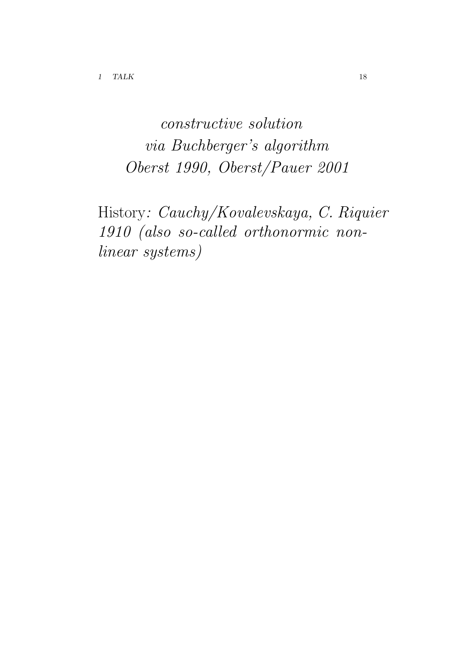constructive solution via Buchberger's algorithm Oberst 1990, Oberst/Pauer 2001

History: Cauchy/Kovalevskaya, C. Riquier 1910 (also so-called orthonormic nonlinear systems)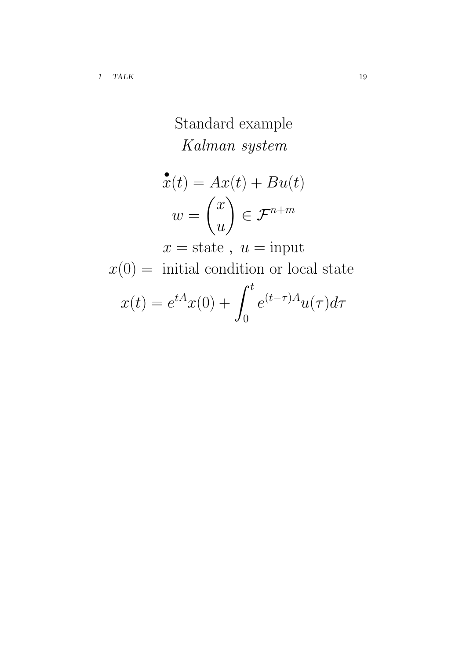Standard example Kalman system

$$
\begin{aligned} \mathbf{\hat{x}}(t) &= Ax(t) + Bu(t) \\ w &= \begin{pmatrix} x \\ u \end{pmatrix} \in \mathcal{F}^{n+m} \\ x - \text{state} \quad u = \text{input} \end{aligned}
$$

$$
x = \text{state}, u = \text{input}
$$

$$
x(0) = \text{ initial condition or local state}
$$

$$
x(t) = e^{tA}x(0) + \int_0^t e^{(t-\tau)A}u(\tau)d\tau
$$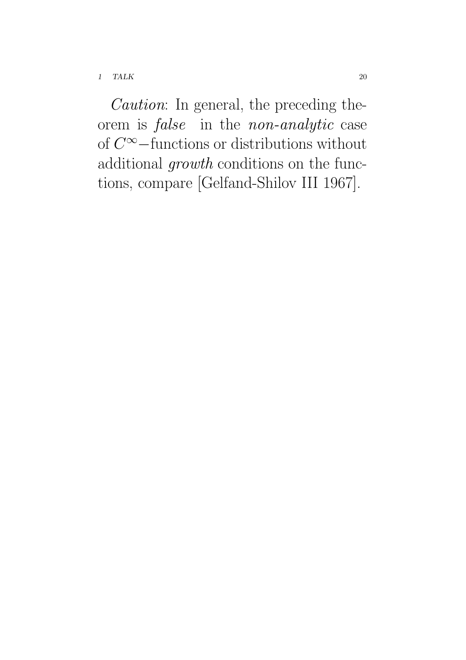Caution: In general, the preceding theorem is false in the non-analytic case of C <sup>∞</sup>−functions or distributions without additional *growth* conditions on the functions, compare [Gelfand-Shilov III 1967].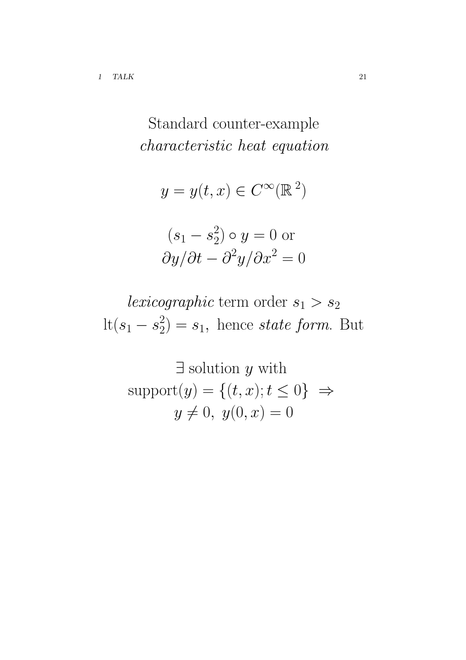characteristic heat equation  $y = y(t, x) \in C^{\infty}(\mathbb{R}^2)$  $(s_1 - s_2^2) \circ y = 0$  or

Standard counter-example

$$
(s_1 - s_2) \circ y = 0 \text{ or}
$$

$$
\frac{\partial y}{\partial t} - \frac{\partial^2 y}{\partial x^2} = 0
$$

lexicographic term order  $s_1 > s_2$  $\mathrm{lt}(s_1 - s_2^2)$  $2<sub>2</sub>$ ) =  $s<sub>1</sub>$ , hence state form. But

 $\exists$  solution  $y$  with  $support(y) = \{(t, x); t \leq 0\} \Rightarrow$  $y \neq 0, y(0, x) = 0$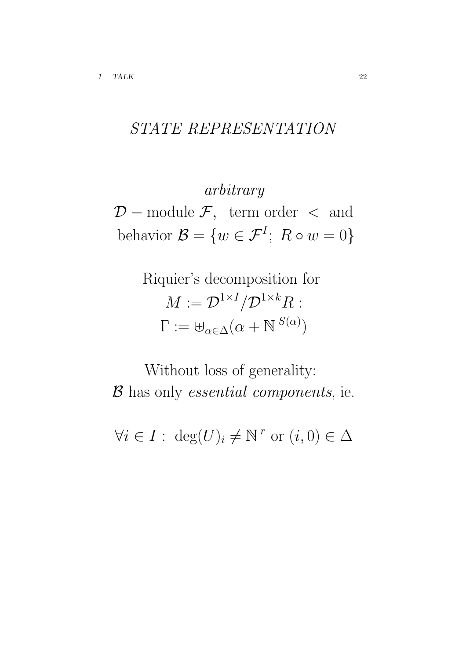## STATE REPRESENTATION

arbitrary  $\mathcal{D}$  – module  $\mathcal{F}$ , term order  $\langle$  and behavior  $\mathcal{B} = \{w \in \mathcal{F}^I; R \circ w = 0\}$ 

> Riquier's decomposition for  $M := \mathcal{D}^{1 \times I} / \mathcal{D}^{1 \times k} R$  :  $\Gamma := \biguplus_{\alpha \in \Delta} (\alpha + \mathbb{N}^{S(\alpha)})$

Without loss of generality: B has only *essential components*, ie.

 $\forall i \in I : \deg(U)_i \neq \mathbb{N}^r \text{ or } (i,0) \in \Delta$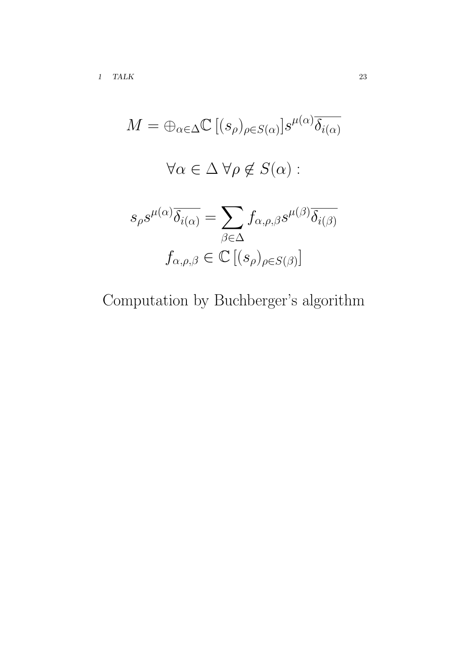$$
M = \bigoplus_{\alpha \in \Delta} \mathbb{C} [(s_{\rho})_{\rho \in S(\alpha)}] s^{\mu(\alpha)} \overline{\delta_{i(\alpha)}}
$$
  

$$
\forall \alpha \in \Delta \ \forall \rho \notin S(\alpha) :
$$
  

$$
s_{\rho} s^{\mu(\alpha)} \overline{\delta_{i(\alpha)}} = \sum_{\beta \in \Delta} f_{\alpha, \rho, \beta} s^{\mu(\beta)} \overline{\delta_{i(\beta)}}
$$
  

$$
f_{\alpha, \rho, \beta} \in \mathbb{C} [(s_{\rho})_{\rho \in S(\beta)}]
$$

Computation by Buchberger's algorithm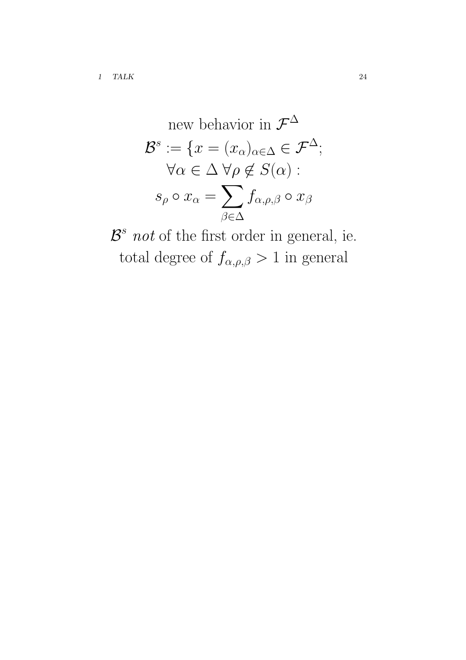new behavior in 
$$
\mathcal{F}^{\Delta}
$$
  
\n $\mathcal{B}^{s} := \{x = (x_{\alpha})_{\alpha \in \Delta} \in \mathcal{F}^{\Delta};$   
\n $\forall \alpha \in \Delta \ \forall \rho \notin S(\alpha) :$   
\n $s_{\rho} \circ x_{\alpha} = \sum_{\beta \in \Delta} f_{\alpha, \rho, \beta} \circ x_{\beta}$ 

 $\mathcal{B}^s$  not of the first order in general, ie. total degree of  $f_{\alpha,\rho,\beta} > 1$  in general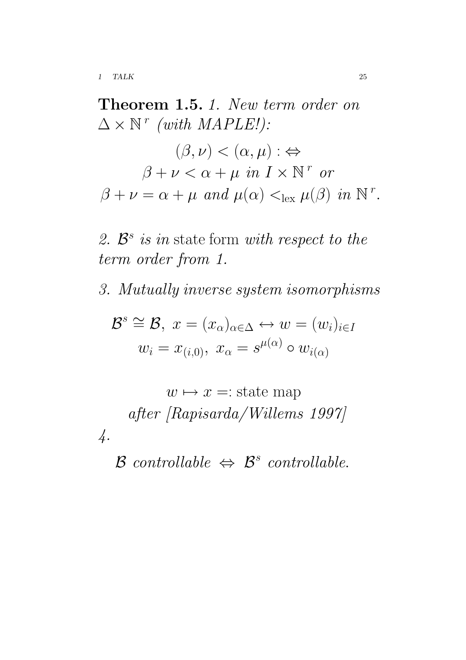Theorem 1.5. 1. New term order on  $\Delta \times \mathbb{N}^r$  (with MAPLE!):  $(\beta, \nu) < (\alpha, \mu) : \Leftrightarrow$  $\beta + \nu < \alpha + \mu$  in  $I \times \mathbb{N}^r$  or  $\beta + \nu = \alpha + \mu$  and  $\mu(\alpha) <_{\text{lex}} \mu(\beta)$  in  $\mathbb{N}^r$ .

2.  $\mathcal{B}^s$  is in state form with respect to the term order from 1.

3. Mutually inverse system isomorphisms

$$
\mathcal{B}^s \cong \mathcal{B}, \ x = (x_\alpha)_{\alpha \in \Delta} \leftrightarrow w = (w_i)_{i \in I}
$$

$$
w_i = x_{(i,0)}, \ x_\alpha = s^{\mu(\alpha)} \circ w_{i(\alpha)}
$$

 $w \mapsto x =: state map$ after [Rapisarda/Willems 1997] 4.

 $\mathcal{B}$  controllable  $\Leftrightarrow$   $\mathcal{B}^s$  controllable.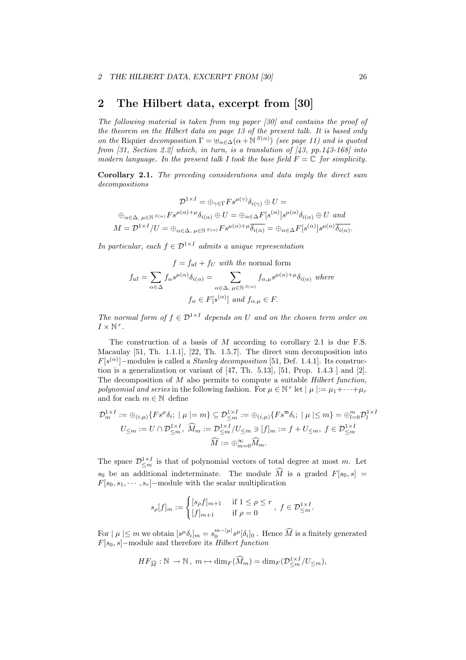### 2 The Hilbert data, excerpt from [30]

The following material is taken from my paper [30] and contains the proof of the theorem on the Hilbert data on page 13 of the present talk. It is based only on the Riquier decomposition  $\Gamma = \biguplus_{\alpha \in \Delta} (\alpha + N^{S(\alpha)})$  (see page 11) and is quoted from [31, Section 2.2] which, in turn, is a translation of [43, pp. 143-168] into modern language. In the present talk I took the base field  $F = \mathbb{C}$  for simplicity.

Corollary 2.1. The preceding considerations and data imply the direct sum decompositions

$$
\mathcal{D}^{1 \times I} = \bigoplus_{\gamma \in \Gamma} F s^{\mu(\gamma)} \delta_{i(\gamma)} \oplus U =
$$
  

$$
\bigoplus_{\alpha \in \Delta, \ \mu \in \mathbb{N}} \mathcal{S}^{(\alpha)} F s^{\mu(\alpha) + \mu} \delta_{i(\alpha)} \oplus U = \bigoplus_{\alpha \in \Delta} F[s^{(\alpha)}] s^{\mu(\alpha)} \delta_{i(\alpha)} \oplus U \text{ and}
$$
  

$$
M = \mathcal{D}^{1 \times I} / U = \bigoplus_{\alpha \in \Delta, \ \mu \in \mathbb{N}} \mathcal{S}^{(\alpha)} F s^{\mu(\alpha) + \mu} \overline{\delta_{i(\alpha)}} = \bigoplus_{\alpha \in \Delta} F[s^{(\alpha)}] s^{\mu(\alpha)} \overline{\delta_{i(\alpha)}}.
$$

In particular, each  $f \in \mathcal{D}^{1 \times I}$  admits a unique representation

$$
f = f_{\text{nf}} + f_U \text{ with the normal form}
$$

$$
f_{\text{nf}} = \sum_{\alpha \in \Delta} f_{\alpha} s^{\mu(\alpha)} \delta_{i(\alpha)} = \sum_{\alpha \in \Delta, \ \mu \in \mathbb{N}^{S(\alpha)}} f_{\alpha,\mu} s^{\mu(\alpha) + \mu} \delta_{i(\alpha)} \text{ where}
$$

$$
f_{\alpha} \in F[s^{(\alpha)}] \text{ and } f_{\alpha,\mu} \in F.
$$

The normal form of  $f \in \mathcal{D}^{1 \times I}$  depends on U and on the chosen term order on  $I \times \mathbb{N}^r$ .

The construction of a basis of M according to corollary 2.1 is due F.S. Macaulay [51, Th. 1.1.1], [22, Th. 1.5.7]. The direct sum decomposition into  $F[s^{(\alpha)}]$  –modules is called a *Stanley decomposition* [51, Def. 1.4.1]. Its construction is a generalization or variant of  $[47, Th. 5.13]$ ,  $[51, Prop. 1.4.3]$  and  $[2]$ . The decomposition of M also permits to compute a suitable *Hilbert function*, polynomial and series in the following fashion. For  $\mu \in \mathbb{N}^r$  let  $|\mu| := \mu_1 + \cdots + \mu_r$ and for each  $m\in\mathbb{N}$  define

$$
\mathcal{D}_m^{1 \times I} := \bigoplus_{(i,\mu)} \{ F s^{\mu} \delta_i; \mid \mu \mid = m \} \subseteq \mathcal{D}_{\leq m}^{1 \times I} := \bigoplus_{(i,\mu)} \{ F s^{\mathfrak{m}} \delta_i; \mid \mu \mid \leq m \} = \bigoplus_{l=0}^m \mathcal{D}_l^{1 \times I}
$$

$$
U_{\leq m} := U \cap \mathcal{D}_{\leq m}^{1 \times I}, \quad \widehat{M}_m := \mathcal{D}_{\leq m}^{1 \times I} / U_{\leq m} \ni [f]_m := f + U_{\leq m}, \quad f \in \mathcal{D}_{\leq m}^{1 \times I}
$$

$$
\widehat{M} := \bigoplus_{m=0}^{\infty} \widehat{M}_m.
$$

The space  $\mathcal{D}_{\leq m}^{1\times I}$  is that of polynomial vectors of total degree at most m. Let  $s_0$  be an additional indeterminate. The module  $\widehat{M}$  is a graded  $F[s_0, s] =$  $F[s_0, s_1, \cdots, s_r]$  – module with the scalar multiplication

$$
s_{\rho}[f]_m := \begin{cases} [s_{\rho}f]_{m+1} & \text{if } 1 \le \rho \le r \\ [f]_{m+1} & \text{if } \rho = 0 \end{cases}, \ f \in \mathcal{D}_{\leq m}^{1 \times I}.
$$

For  $| \mu | \leq m$  we obtain  $[s^{\mu} \delta_i]_m = s_0^{m-|\mu|} s^{\mu} [\delta_i]_0$ . Hence  $\widehat{M}$  is a finitely generated  $F[s_0, s]$  –module and therefore its Hilbert function

$$
HF_{\widehat{M}}: \mathbb{N} \rightarrow \mathbb{N}\,,\; m \mapsto \mathrm{dim}_F(\widehat{M}_m) = \mathrm{dim}_F(\mathcal{D}_{\leq m}^{1 \times I}/U_{\leq m}),
$$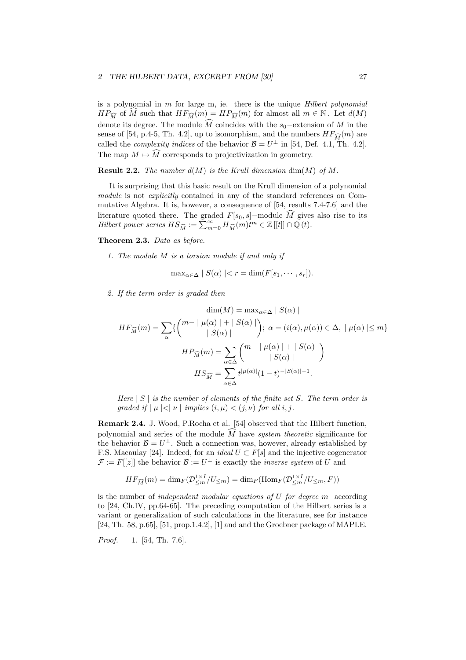is a polynomial in  $m$  for large m, ie. there is the unique  $Hilbert$  polynomial  $HP_{\widehat{M}}$  of  $\widehat{M}$  such that  $HF_{\widehat{M}}(m) = HP_{\widehat{M}}(m)$  for almost all  $m \in \mathbb{N}$ . Let  $d(M)$ denote its degree. The module  $\widehat{M}$  coincides with the s<sub>0</sub>−extension of M in the sense of [54, p.4-5, Th. 4.2], up to isomorphism, and the numbers  $HF_{\widehat{M}}(m)$  are called the *complexity indices* of the behavior  $\mathcal{B} = U^{\perp}$  in [54, Def. 4.1, Th. 4.2]. The map  $M \mapsto \widehat{M}$  corresponds to projectivization in geometry.

**Result 2.2.** The number  $d(M)$  is the Krull dimension  $dim(M)$  of M.

It is surprising that this basic result on the Krull dimension of a polynomial module is not explicitly contained in any of the standard references on Commutative Algebra. It is, however, a consequence of [54, results 7.4-7.6] and the literature quoted there. The graded  $F[s_0, s]$ –module  $\widehat{M}$  gives also rise to its <br>Hilbert power series  $HS_{\widehat{M}} := \sum_{m=0}^{\infty} H_{\widehat{M}}(m)t^m \in \mathbb{Z}[[t]] \cap \mathbb{Q}(t)$ .

Theorem 2.3. Data as before.

1. The module M is a torsion module if and only if

$$
\max_{\alpha \in \Delta} |S(\alpha)| < r = \dim(F[s_1, \cdots, s_r]).
$$

2. If the term order is graded then

$$
\dim(M) = \max_{\alpha \in \Delta} |S(\alpha)|
$$
  
\n
$$
HF_{\widehat{M}}(m) = \sum_{\alpha} \{ \begin{pmatrix} m - | \mu(\alpha) | + | S(\alpha) | \\ |S(\alpha) | \end{pmatrix}; \ \alpha = (i(\alpha), \mu(\alpha)) \in \Delta, \ |\mu(\alpha) | \le m \}
$$
  
\n
$$
HP_{\widehat{M}}(m) = \sum_{\alpha \in \Delta} \begin{pmatrix} m - | \mu(\alpha) | + | S(\alpha) | \\ |S(\alpha) | \end{pmatrix}
$$
  
\n
$$
HS_{\widehat{M}} = \sum_{\alpha \in \Delta} t^{|\mu(\alpha)|} (1 - t)^{-|S(\alpha)| - 1}.
$$

Here  $|S|$  is the number of elements of the finite set S. The term order is qraded if  $| \mu | < | \nu |$  implies  $(i, \mu) < (i, \nu)$  for all i, j.

Remark 2.4. J. Wood, P.Rocha et al. [54] observed that the Hilbert function, polynomial and series of the module  $\widehat{M}$  have *system theoretic* significance for the behavior  $\mathcal{B} = U^{\perp}$ . Such a connection was, however, already established by F.S. Macaulay [24]. Indeed, for an *ideal*  $U \subset F[s]$  and the injective cogenerator  $\mathcal{F} := F[[z]]$  the behavior  $\mathcal{B} := U^{\perp}$  is exactly the *inverse system* of U and

$$
HF_{\widehat{M}}(m) = \dim_F(\mathcal{D}_{\leq m}^{1 \times I}/U_{\leq m}) = \dim_F(\mathrm{Hom}_F(\mathcal{D}_{\leq m}^{1 \times I}/U_{\leq m}, F))
$$

is the number of *independent modular equations of*  $U$  *for degree m* according to [24, Ch.IV, pp.64-65]. The preceding computation of the Hilbert series is a variant or generalization of such calculations in the literature, see for instance [24, Th. 58, p.65], [51, prop.1.4.2], [1] and and the Groebner package of MAPLE.

Proof. 1. [54, Th. 7.6].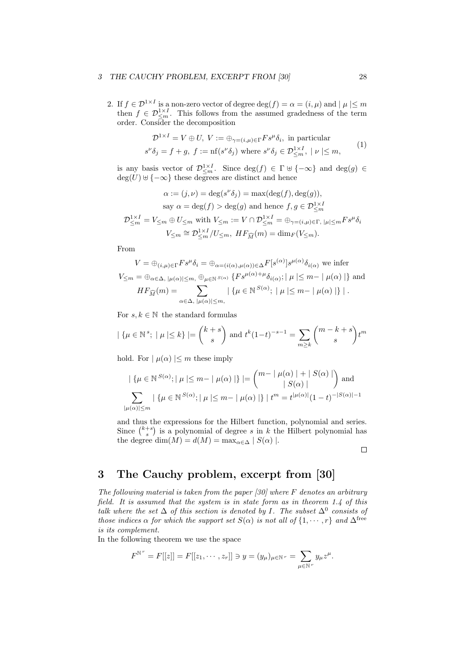#### 3 THE CAUCHY PROBLEM, EXCERPT FROM [30] 28

2. If  $f \in \mathcal{D}^{1 \times I}$  is a non-zero vector of degree  $\deg(f) = \alpha = (i, \mu)$  and  $| \mu | \leq m$ then  $f \in \mathcal{D}_{\leq m}^{1 \times I}$ . This follows from the assumed gradedness of the term order. Consider the decomposition

$$
\mathcal{D}^{1 \times I} = V \oplus U, \ V := \oplus_{\gamma = (i,\mu) \in \Gamma} F s^{\mu} \delta_i, \text{ in particular}
$$
  

$$
s^{\nu} \delta_j = f + g, \ f := \text{nf}(s^{\nu} \delta_j) \text{ where } s^{\nu} \delta_j \in \mathcal{D}^{1 \times I}_{\leq m}, \ |\nu| \leq m,
$$
 (1)

is any basis vector of  $\mathcal{D}_{\leq m}^{1 \times I}$ . Since  $\deg(f) \in \Gamma \cup \{-\infty\}$  and  $\deg(g) \in$  $deg(U) \cup \{-\infty\}$  these degrees are distinct and hence

$$
\alpha := (j, \nu) = \deg(s^{\nu}\delta_j) = \max(\deg(f), \deg(g)),
$$
  
say  $\alpha = \deg(f) > \deg(g)$  and hence  $f, g \in \mathcal{D}_{\leq m}^{1 \times I}$   

$$
\mathcal{D}_{\leq m}^{1 \times I} = V_{\leq m} \oplus U_{\leq m} \text{ with } V_{\leq m} := V \cap \mathcal{D}_{\leq m}^{1 \times I} = \oplus_{\gamma = (i, \mu) \in \Gamma, |\mu| \leq m} F s^{\mu} \delta_i
$$
  

$$
V_{\leq m} \cong \mathcal{D}_{\leq m}^{1 \times I} / U_{\leq m}, \quad HF_{\widehat{M}}(m) = \dim_F(V_{\leq m}).
$$

From

$$
V = \bigoplus_{(i,\mu)\in\Gamma} F s^{\mu} \delta_i = \bigoplus_{\alpha=(i(\alpha),\mu(\alpha))\in\Delta} F[s^{(\alpha)}] s^{\mu(\alpha)} \delta_{i(\alpha)}
$$
 we infer  

$$
V_{\leq m} = \bigoplus_{\alpha\in\Delta, |\mu(\alpha)|\leq m, \bigoplus_{\mu\in\mathbb{N}} s_{(\alpha)} \{F s^{\mu(\alpha)+\mu} \delta_{i(\alpha)}; |\mu| \leq m - |\mu(\alpha)|\}
$$
 and  

$$
HF_{\widehat{M}}(m) = \sum_{\alpha\in\Delta, |\mu(\alpha)|\leq m,} |\{\mu\in\mathbb{N}^{S(\alpha)}; |\mu| \leq m - |\mu(\alpha)|\}|.
$$

For  $s, k \in \mathbb{N}$  the standard formulas

$$
|\{\mu \in \mathbb{N}^s; |\mu| \le k\}| = {k+s \choose s}
$$
 and  $t^k (1-t)^{-s-1} = \sum_{m \ge k} {m-k+s \choose s} t^m$ 

hold. For  $|\mu(\alpha)| \leq m$  these imply

$$
|\{\mu \in \mathbb{N}^{S(\alpha)}; |\mu| \le m - |\mu(\alpha)|\}| = {m - |\mu(\alpha)| + |S(\alpha)| \choose |S(\alpha)|} \text{ and }
$$
  

$$
\sum_{|\mu(\alpha)| \le m} |\{\mu \in \mathbb{N}^{S(\alpha)}; |\mu| \le m - |\mu(\alpha)|\}| t^m = t^{|\mu(\alpha)|} (1-t)^{-|S(\alpha)|-1}
$$

and thus the expressions for the Hilbert function, polynomial and series. and thus the expressions for the Hilbert function, polynomial and series.<br>Since  $\binom{k+s}{s}$  is a polynomial of degree s in k the Hilbert polynomial has the degree dim( $M$ ) =  $d(M)$  = max<sub> $\alpha \in \Delta$ </sub> |  $S(\alpha)$  |.

 $\Box$ 

### 3 The Cauchy problem, excerpt from [30]

The following material is taken from the paper  $[30]$  where F denotes an arbitrary field. It is assumed that the system is in state form as in theorem 1.4 of this talk where the set  $\Delta$  of this section is denoted by I. The subset  $\Delta^0$  consists of those indices  $\alpha$  for which the support set  $S(\alpha)$  is not all of  $\{1, \dots, r\}$  and  $\Delta^{\text{free}}$ is its complement.

In the following theorem we use the space

$$
F^{\mathbb{N}^r} = F[[z]] = F[[z_1, \cdots, z_r]] \ni y = (y_\mu)_{\mu \in \mathbb{N}^r} = \sum_{\mu \in \mathbb{N}^r} y_\mu z^\mu.
$$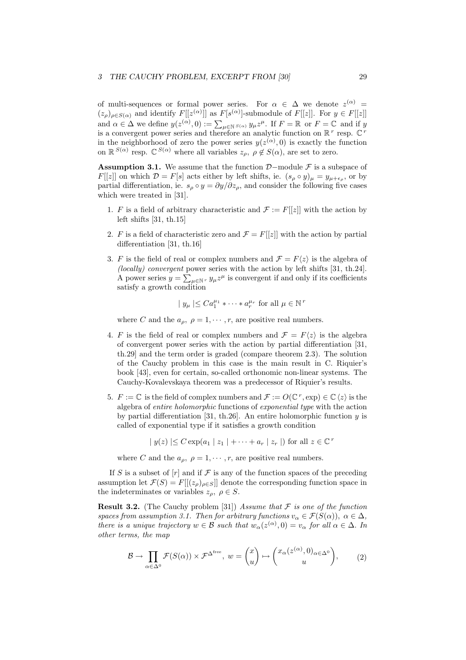of multi-sequences or formal power series. For  $\alpha \in \Delta$  we denote  $z^{(\alpha)} =$  $(z_\rho)_{\rho \in S(\alpha)}$  and identify  $F[[z^{(\alpha)}]]$  as  $F[s^{(\alpha)}]$ -submodule of  $F[[z]]$ . For  $y \in F[[z]]$ ( $\alpha$ )  $\rho \in S(\alpha)$  and definity  $F$  [[ $\alpha$ <sup>, 1</sup>] as  $F$  [ $\beta$ <sup>, 1</sup>]-submodule of  $F$  [[ $\alpha$ ]]. For  $y \in F$  [[ $\alpha$ ]]<br>and  $\alpha \in \Delta$  we define  $y(z^{(\alpha)}, 0) := \sum_{\mu \in \mathbb{N}} s(\alpha) y_{\mu} z^{\mu}$ . If  $F = \mathbb{R}$  or  $F = \mathbb{C}$  and if y is a convergent power series and therefore an analytic function on  $\mathbb{R}^r$  resp.  $\mathbb{C}^r$ in the neighborhood of zero the power series  $y(z^{(\alpha)},0)$  is exactly the function on  $\mathbb{R}^{S(\alpha)}$  resp.  $\mathbb{C}^{S(\alpha)}$  where all variables  $z_{\rho}, \rho \notin S(\alpha)$ , are set to zero.

**Assumption 3.1.** We assume that the function  $\mathcal{D}-$ module  $\mathcal{F}$  is a subspace of  $F[[z]]$  on which  $\mathcal{D} = F[s]$  acts either by left shifts, ie.  $(s_\rho \circ y)_\mu = y_{\mu + \epsilon_\rho}$ , or by partial differentiation, ie.  $s_\rho \circ y = \partial y / \partial z_\rho$ , and consider the following five cases which were treated in [31].

- 1. F is a field of arbitrary characteristic and  $\mathcal{F} := F[[z]]$  with the action by left shifts [31, th.15]
- 2. F is a field of characteristic zero and  $\mathcal{F} = F[[z]]$  with the action by partial differentiation [31, th.16]
- 3. F is the field of real or complex numbers and  $\mathcal{F} = F\langle z \rangle$  is the algebra of  $(locally)$  convergent power series with the action by left shifts  $[31, th.24]$ . A power series  $y = \sum_{\mu \in \mathbb{N}^r} y_{\mu} z^{\mu}$  is convergent if and only if its coefficients satisfy a growth condition

$$
|y_{\mu}| \leq Ca_1^{\mu_1} * \cdots * a_r^{\mu_r}
$$
 for all  $\mu \in \mathbb{N}^r$ 

where C and the  $a_{\rho}, \rho = 1, \cdots, r$ , are positive real numbers.

- 4. F is the field of real or complex numbers and  $\mathcal{F} = F\langle z \rangle$  is the algebra of convergent power series with the action by partial differentiation [31, th.29] and the term order is graded (compare theorem 2.3). The solution of the Cauchy problem in this case is the main result in C. Riquier's book [43], even for certain, so-called orthonomic non-linear systems. The Cauchy-Kovalevskaya theorem was a predecessor of Riquier's results.
- 5.  $F := \mathbb{C}$  is the field of complex numbers and  $\mathcal{F} := O(\mathbb{C}^r, \exp) \in \mathbb{C} \langle z \rangle$  is the algebra of entire holomorphic functions of exponential type with the action by partial differentiation [31, th.26]. An entire holomorphic function  $y$  is called of exponential type if it satisfies a growth condition

$$
|y(z)| \leq C \exp(a_1 | z_1 | + \cdots + a_r | z_r |)
$$
 for all  $z \in \mathbb{C}^r$ 

where C and the  $a_{\rho}, \rho = 1, \cdots, r$ , are positive real numbers.

If S is a subset of  $[r]$  and if F is any of the function spaces of the preceding assumption let  $\mathcal{F}(S) = F[[(z_\rho)_{\rho \in S}]]$  denote the corresponding function space in the indeterminates or variables  $z_{\rho}, \rho \in S$ .

**Result 3.2.** (The Cauchy problem [31]) Assume that  $\mathcal F$  is one of the function spaces from assumption 3.1. Then for arbitrary functions  $v_{\alpha} \in \mathcal{F}(S(\alpha))$ ,  $\alpha \in \Delta$ , there is a unique trajectory  $w \in \mathcal{B}$  such that  $w_{\alpha}(z^{(\alpha)}, 0) = v_{\alpha}$  for all  $\alpha \in \Delta$ . In other terms, the map

$$
\mathcal{B} \to \prod_{\alpha \in \Delta^0} \mathcal{F}(S(\alpha)) \times \mathcal{F}^{\Delta^{\text{free}}}, \ w = \binom{x}{u} \mapsto \binom{x_{\alpha}(z^{(\alpha)}, 0)_{\alpha \in \Delta^0}}{u}, \qquad (2)
$$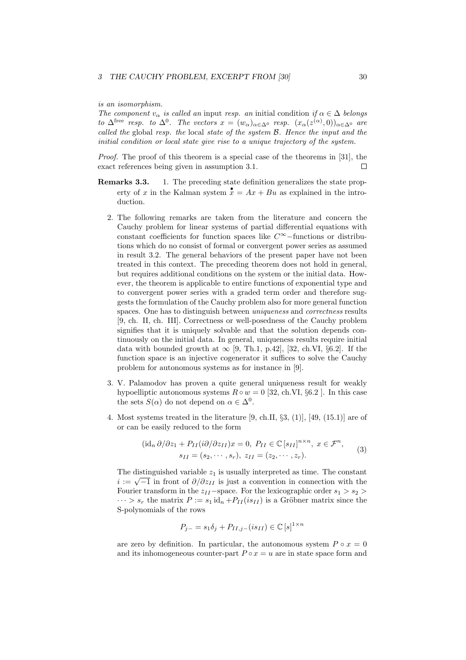is an isomorphism.

The component  $v_{\alpha}$  is called an input resp. an initial condition if  $\alpha \in \Delta$  belongs to  $\Delta^{\text{free}}$  resp. to  $\Delta^0$ . The vectors  $x = (w_\alpha)_{\alpha \in \Delta^0}$  resp.  $(x_\alpha(z^{(\alpha)}, 0))_{\alpha \in \Delta^0}$  are called the global resp. the local state of the system B. Hence the input and the initial condition or local state give rise to a unique trajectory of the system.

Proof. The proof of this theorem is a special case of the theorems in [31], the exact references being given in assumption 3.1. П

- **Remarks 3.3.** 1. The preceding state definition generalizes the state property of x in the Kalman system  $\mathbf{x} = Ax + Bu$  as explained in the introduction.
	- 2. The following remarks are taken from the literature and concern the Cauchy problem for linear systems of partial differential equations with constant coefficients for function spaces like C<sup>∞</sup>−functions or distributions which do no consist of formal or convergent power series as assumed in result 3.2. The general behaviors of the present paper have not been treated in this context. The preceding theorem does not hold in general, but requires additional conditions on the system or the initial data. However, the theorem is applicable to entire functions of exponential type and to convergent power series with a graded term order and therefore suggests the formulation of the Cauchy problem also for more general function spaces. One has to distinguish between *uniqueness* and *correctness* results [9, ch. II, ch. III]. Correctness or well-posedness of the Cauchy problem signifies that it is uniquely solvable and that the solution depends continuously on the initial data. In general, uniqueness results require initial data with bounded growth at  $\infty$  [9, Th.1, p.42], [32, ch.VI, §6.2]. If the function space is an injective cogenerator it suffices to solve the Cauchy problem for autonomous systems as for instance in [9].
	- 3. V. Palamodov has proven a quite general uniqueness result for weakly hypoelliptic autonomous systems  $R \circ w = 0$  [32, ch.VI, §6.2]. In this case the sets  $S(\alpha)$  do not depend on  $\alpha \in \Delta^0$ .
	- 4. Most systems treated in the literature  $[9, ch.II, \S3, (1)]$ ,  $[49, (15.1)]$  are of or can be easily reduced to the form

$$
(\mathrm{id}_n \,\partial/\partial z_1 + P_{II}(i\partial/\partial z_{II})x = 0, \ P_{II} \in \mathbb{C}[s_{II}]^{n \times n}, \ x \in \mathcal{F}^n,
$$
  

$$
s_{II} = (s_2, \cdots, s_r), \ z_{II} = (z_2, \cdots, z_r).
$$
 (3)

The distinguished variable  $z_1$  is usually interpreted as time. The constant i in a distinguished variable  $z_1$  is usually interpreted as time. The constant  $i := \sqrt{-1}$  in front of  $\partial/\partial z_{II}$  is just a convention in connection with the Fourier transform in the  $z_{II}$ –space. For the lexicographic order  $s_1 > s_2$  $\cdots > s_r$  the matrix  $P := s_1 \mathrm{id}_n + P_{II}(is_{II})$  is a Gröbner matrix since the S-polynomials of the rows

$$
P_{j-} = s_1 \delta_j + P_{II,j-}(i s_{II}) \in \mathbb{C}[s]^{1 \times n}
$$

are zero by definition. In particular, the autonomous system  $P \circ x = 0$ and its inhomogeneous counter-part  $P \circ x = u$  are in state space form and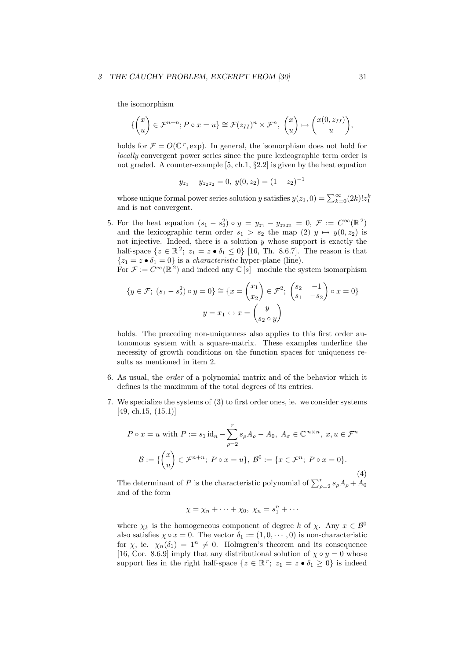#### 3 THE CAUCHY PROBLEM, EXCERPT FROM [30] 31

the isomorphism

$$
\left\{ \begin{pmatrix} x \\ u \end{pmatrix} \in \mathcal{F}^{n+n}; P \circ x = u \right\} \cong \mathcal{F}(z_{II})^n \times \mathcal{F}^n, \begin{pmatrix} x \\ u \end{pmatrix} \mapsto \begin{pmatrix} x(0, z_{II}) \\ u \end{pmatrix},
$$

holds for  $\mathcal{F} = O(\mathbb{C}^r, \exp)$ . In general, the isomorphism does not hold for locally convergent power series since the pure lexicographic term order is not graded. A counter-example [5, ch.1, §2.2] is given by the heat equation

$$
y_{z_1} - y_{z_2 z_2} = 0, \ y(0, z_2) = (1 - z_2)^{-1}
$$

whose unique formal power series solution y satisfies  $y(z_1, 0) = \sum_{k=0}^{\infty} (2k)! z_1^k$ and is not convergent.

5. For the heat equation  $(s_1 - s_2^2) \circ y = y_{z_1} - y_{z_2 z_2} = 0, \mathcal{F} := C^{\infty}(\mathbb{R}^2)$ and the lexicographic term order  $s_1 > s_2$  the map (2)  $y \mapsto y(0, z_2)$  is not injective. Indeed, there is a solution  $y$  whose support is exactly the half-space  $\{z \in \mathbb{R}^2; z_1 = z \bullet \delta_1 \leq 0\}$  [16, Th. 8.6.7]. The reason is that  ${z_1 = z \cdot \delta_1 = 0}$  is a *characteristic* hyper-plane (line).

For  $\mathcal{F} := C^{\infty}(\mathbb{R}^2)$  and indeed any  $\mathbb{C}[s]$ -module the system isomorphism

$$
\{y \in \mathcal{F}; (s_1 - s_2^2) \circ y = 0\} \cong \{x = \begin{pmatrix} x_1 \\ x_2 \end{pmatrix} \in \mathcal{F}^2; \begin{pmatrix} s_2 & -1 \\ s_1 & -s_2 \end{pmatrix} \circ x = 0\}
$$

$$
y = x_1 \leftrightarrow x = \begin{pmatrix} y \\ s_2 \circ y \end{pmatrix}
$$

holds. The preceding non-uniqueness also applies to this first order autonomous system with a square-matrix. These examples underline the necessity of growth conditions on the function spaces for uniqueness results as mentioned in item 2.

- 6. As usual, the order of a polynomial matrix and of the behavior which it defines is the maximum of the total degrees of its entries.
- 7. We specialize the systems of (3) to first order ones, ie. we consider systems [49, ch.15, (15.1)]

$$
P \circ x = u \text{ with } P := s_1 \operatorname{id}_n - \sum_{\rho=2}^r s_\rho A_\rho - A_0, \ A_\sigma \in \mathbb{C}^{n \times n}, \ x, u \in \mathcal{F}^n
$$

$$
\mathcal{B} := \left\{ \binom{x}{u} \in \mathcal{F}^{n+n}; \ P \circ x = u \right\}, \ \mathcal{B}^0 := \left\{ x \in \mathcal{F}^n; \ P \circ x = 0 \right\}.
$$

The determinant of P is the characteristic polynomial of  $\sum_{\rho=2}^{r} s_{\rho} A_{\rho} + A_0$ and of the form

$$
\chi = \chi_n + \dots + \chi_0, \ \chi_n = s_1^n + \dots
$$

where  $\chi_k$  is the homogeneous component of degree k of  $\chi$ . Any  $x \in \mathcal{B}^0$ also satisfies  $\chi \circ x = 0$ . The vector  $\delta_1 := (1, 0, \dots, 0)$  is non-characteristic for x, ie.  $\chi_n(\delta_1) = 1^n \neq 0$ . Holmgren's theorem and its consequence [16, Cor. 8.6.9] imply that any distributional solution of  $\chi \circ y = 0$  whose support lies in the right half-space  $\{z \in \mathbb{R}^r; z_1 = z \bullet \delta_1 \geq 0\}$  is indeed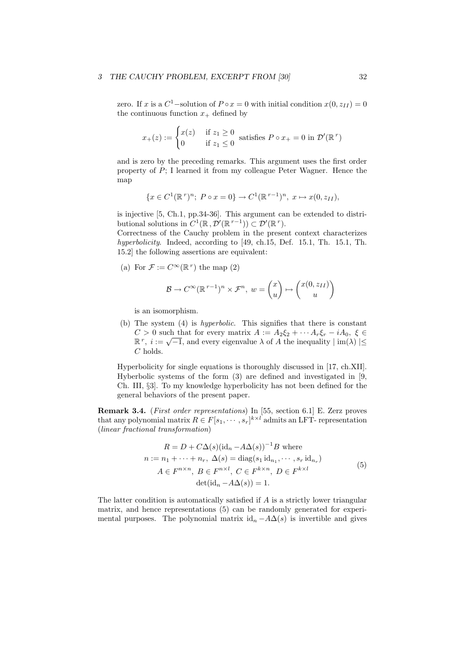#### 3 THE CAUCHY PROBLEM, EXCERPT FROM [30] 32

zero. If x is a  $C^1$ -solution of  $P \circ x = 0$  with initial condition  $x(0, z_{II}) = 0$ the continuous function  $x_+$  defined by

$$
x_{+}(z) := \begin{cases} x(z) & \text{if } z_{1} \ge 0 \\ 0 & \text{if } z_{1} \le 0 \end{cases}
$$
 satisfies  $P \circ x_{+} = 0$  in  $\mathcal{D}'(\mathbb{R}^{r})$ 

and is zero by the preceding remarks. This argument uses the first order property of P; I learned it from my colleague Peter Wagner. Hence the map

$$
\{x \in C^1(\mathbb{R}^r)^n; \ P \circ x = 0\} \to C^1(\mathbb{R}^{r-1})^n, \ x \mapsto x(0, z_{II}),
$$

is injective [5, Ch.1, pp.34-36]. This argument can be extended to distributional solutions in  $C^1(\mathbb{R}, \mathcal{D}'(\mathbb{R}^{r-1})) \subset \mathcal{D}'(\mathbb{R}^r)$ .

Correctness of the Cauchy problem in the present context characterizes hyperbolicity. Indeed, according to [49, ch.15, Def. 15.1, Th. 15.1, Th. 15.2] the following assertions are equivalent:

(a) For  $\mathcal{F} := C^{\infty}(\mathbb{R}^r)$  the map (2)

$$
\mathcal{B} \to C^{\infty}(\mathbb{R}^{r-1})^n \times \mathcal{F}^n, w = \begin{pmatrix} x \\ u \end{pmatrix} \mapsto \begin{pmatrix} x(0, z_{II}) \\ u \end{pmatrix}
$$

is an isomorphism.

(b) The system (4) is hyperbolic. This signifies that there is constant  $C > 0$  such that for every matrix  $A := A_2 \xi_2 + \cdots + A_r \xi_r - iA_0, \xi \in$  $C > 0$  such that for every matrix  $A := A_2 \xi_2 + \cdots + A_r \xi_r - i A_0$ ,  $\xi \in \mathbb{R}^r$ ,  $i := \sqrt{-1}$ , and every eigenvalue  $\lambda$  of A the inequality  $|\text{im}(\lambda)| \leq$ C holds.

Hyperbolicity for single equations is thoroughly discussed in [17, ch.XII]. Hyberbolic systems of the form (3) are defined and investigated in [9, Ch. III, §3]. To my knowledge hyperbolicity has not been defined for the general behaviors of the present paper.

Remark 3.4. (First order representations) In [55, section 6.1] E. Zerz proves that any polynomial matrix  $R \in F[s_1, \dots, s_r]^{k \times l}$  admits an LFT- representation (linear fractional transformation)

$$
R = D + C\Delta(s)(id_n - A\Delta(s))^{-1}B \text{ where}
$$
  
\n
$$
n := n_1 + \dots + n_r, \ \Delta(s) = \text{diag}(s_1 id_{n_1}, \dots, s_r id_{n_r})
$$
  
\n
$$
A \in F^{n \times n}, \ B \in F^{n \times l}, \ C \in F^{k \times n}, \ D \in F^{k \times l}
$$
  
\n
$$
\text{det}(\text{id}_n - A\Delta(s)) = 1.
$$
\n(5)

The latter condition is automatically satisfied if  $A$  is a strictly lower triangular matrix, and hence representations (5) can be randomly generated for experimental purposes. The polynomial matrix  $id_n - A\Delta(s)$  is invertible and gives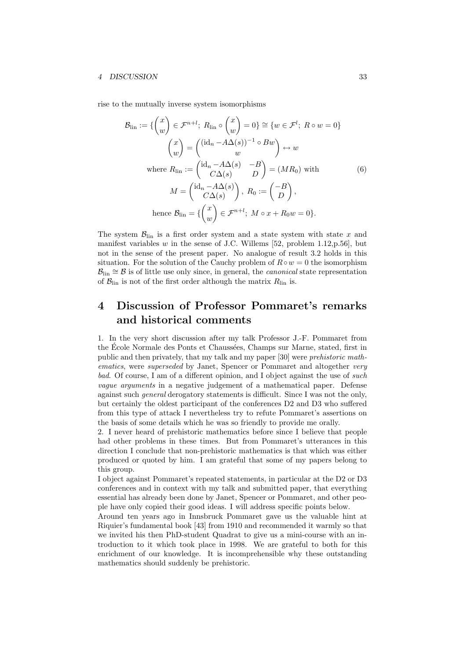rise to the mutually inverse system isomorphisms

$$
\mathcal{B}_{\text{lin}} := \left\{ \begin{pmatrix} x \\ w \end{pmatrix} \in \mathcal{F}^{n+l}; \ R_{\text{lin}} \circ \begin{pmatrix} x \\ w \end{pmatrix} = 0 \right\} \cong \left\{ w \in \mathcal{F}^l; \ R \circ w = 0 \right\}
$$
\n
$$
\begin{pmatrix} x \\ w \end{pmatrix} = \begin{pmatrix} (\text{id}_n - A\Delta(s))^{-1} \circ Bw \\ w \end{pmatrix} \leftrightarrow w
$$
\nwhere  $R_{\text{lin}} := \begin{pmatrix} \text{id}_n - A\Delta(s) & -B \\ C\Delta(s) & D \end{pmatrix} = (MR_0)$  with\n
$$
M = \begin{pmatrix} \text{id}_n - A\Delta(s) \\ C\Delta(s) \end{pmatrix}, \ R_0 := \begin{pmatrix} -B \\ D \end{pmatrix},
$$
\nhence  $\mathcal{B}_{\text{lin}} = \left\{ \begin{pmatrix} x \\ w \end{pmatrix} \in \mathcal{F}^{n+l}; \ M \circ x + R_0 w = 0 \right\}.$ 

The system  $\mathcal{B}_{lin}$  is a first order system and a state system with state x and manifest variables  $w$  in the sense of J.C. Willems [52, problem 1.12, p.56], but not in the sense of the present paper. No analogue of result 3.2 holds in this situation. For the solution of the Cauchy problem of  $R \circ w = 0$  the isomorphism  $\mathcal{B}_{\text{lin}} \cong \mathcal{B}$  is of little use only since, in general, the *canonical* state representation of  $\mathcal{B}_{lin}$  is not of the first order although the matrix  $R_{lin}$  is.

### 4 Discussion of Professor Pommaret's remarks and historical comments

1. In the very short discussion after my talk Professor J.-F. Pommaret from the École Normale des Ponts et Chaussées, Champs sur Marne, stated, first in public and then privately, that my talk and my paper [30] were prehistoric mathematics, were *superseded* by Janet, Spencer or Pommaret and altogether *very* bad. Of course, I am of a different opinion, and I object against the use of such vague arguments in a negative judgement of a mathematical paper. Defense against such general derogatory statements is difficult. Since I was not the only, but certainly the oldest participant of the conferences D2 and D3 who suffered from this type of attack I nevertheless try to refute Pommaret's assertions on the basis of some details which he was so friendly to provide me orally.

2. I never heard of prehistoric mathematics before since I believe that people had other problems in these times. But from Pommaret's utterances in this direction I conclude that non-prehistoric mathematics is that which was either produced or quoted by him. I am grateful that some of my papers belong to this group.

I object against Pommaret's repeated statements, in particular at the D2 or D3 conferences and in context with my talk and submitted paper, that everything essential has already been done by Janet, Spencer or Pommaret, and other people have only copied their good ideas. I will address specific points below.

Around ten years ago in Innsbruck Pommaret gave us the valuable hint at Riquier's fundamental book [43] from 1910 and recommended it warmly so that we invited his then PhD-student Quadrat to give us a mini-course with an introduction to it which took place in 1998. We are grateful to both for this enrichment of our knowledge. It is incomprehensible why these outstanding mathematics should suddenly be prehistoric.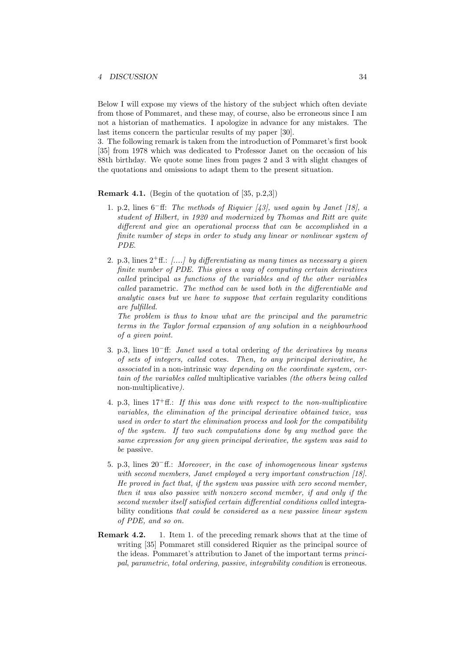Below I will expose my views of the history of the subject which often deviate from those of Pommaret, and these may, of course, also be erroneous since I am not a historian of mathematics. I apologize in advance for any mistakes. The last items concern the particular results of my paper [30].

3. The following remark is taken from the introduction of Pommaret's first book [35] from 1978 which was dedicated to Professor Janet on the occasion of his 88th birthday. We quote some lines from pages 2 and 3 with slight changes of the quotations and omissions to adapt them to the present situation.

#### **Remark 4.1.** (Begin of the quotation of  $[35, p.2,3]$ )

- 1. p.2, lines 6<sup>−</sup>ff: The methods of Riquier [43], used again by Janet [18], a student of Hilbert, in 1920 and modernized by Thomas and Ritt are quite different and give an operational process that can be accomplished in a finite number of steps in order to study any linear or nonlinear system of PDE.
- 2. p.3, lines  $2^+$  ff.: [....] by differentiating as many times as necessary a given finite number of PDE. This gives a way of computing certain derivatives called principal as functions of the variables and of the other variables called parametric. The method can be used both in the differentiable and analytic cases but we have to suppose that certain regularity conditions are fulfilled.

The problem is thus to know what are the principal and the parametric terms in the Taylor formal expansion of any solution in a neighbourhood of a given point.

- 3. p.3, lines 10<sup>−</sup>ff: Janet used a total ordering of the derivatives by means of sets of integers, called cotes. Then, to any principal derivative, he associated in a non-intrinsic way depending on the coordinate system, certain of the variables called multiplicative variables (the others being called non-multiplicative).
- 4. p.3, lines  $17^+$ ff.: If this was done with respect to the non-multiplicative variables, the elimination of the principal derivative obtained twice, was used in order to start the elimination process and look for the compatibility of the system. If two such computations done by any method gave the same expression for any given principal derivative, the system was said to be passive.
- 5. p.3, lines 20<sup>−</sup>ff.: Moreover, in the case of inhomogeneous linear systems with second members, Janet employed a very important construction [18]. He proved in fact that, if the system was passive with zero second member, then it was also passive with nonzero second member, if and only if the second member itself satisfied certain differential conditions called integrability conditions that could be considered as a new passive linear system of PDE, and so on.
- Remark 4.2. 1. Item 1. of the preceding remark shows that at the time of writing [35] Pommaret still considered Riquier as the principal source of the ideas. Pommaret's attribution to Janet of the important terms principal, parametric, total ordering, passive, integrability condition is erroneous.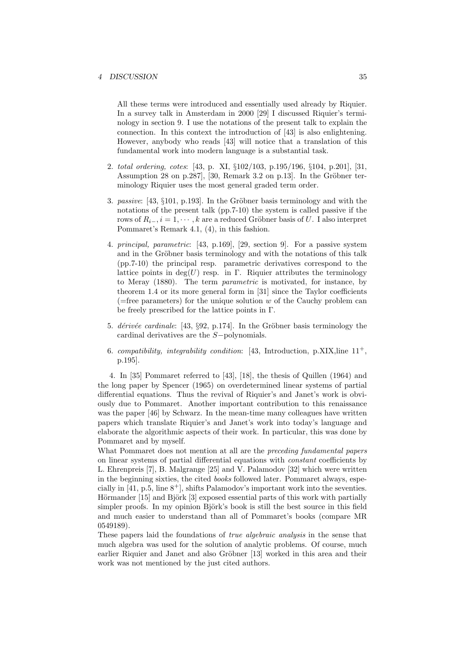All these terms were introduced and essentially used already by Riquier. In a survey talk in Amsterdam in 2000 [29] I discussed Riquier's terminology in section 9. I use the notations of the present talk to explain the connection. In this context the introduction of [43] is also enlightening. However, anybody who reads [43] will notice that a translation of this fundamental work into modern language is a substantial task.

- 2. total ordering, cotes: [43, p. XI, §102/103, p.195/196, §104, p.201], [31, Assumption 28 on p.287], [30, Remark 3.2 on p.13]. In the Gröbner terminology Riquier uses the most general graded term order.
- 3. passive:  $[43, \S101, p.193]$ . In the Gröbner basis terminology and with the notations of the present talk (pp.7-10) the system is called passive if the rows of  $R_{i-1}, i = 1, \cdots, k$  are a reduced Gröbner basis of U. I also interpret Pommaret's Remark 4.1, (4), in this fashion.
- 4. principal, parametric: [43, p.169], [29, section 9]. For a passive system and in the Gröbner basis terminology and with the notations of this talk (pp.7-10) the principal resp. parametric derivatives correspond to the lattice points in deg(U) resp. in Γ. Riquier attributes the terminology to Meray (1880). The term parametric is motivated, for instance, by theorem 1.4 or its more general form in [31] since the Taylor coefficients (=free parameters) for the unique solution  $w$  of the Cauchy problem can be freely prescribed for the lattice points in Γ.
- 5. *dérivée cardinale*: [43,  $\S92$ , p.174]. In the Gröbner basis terminology the cardinal derivatives are the S−polynomials.
- 6. compatibility, integrability condition: [43, Introduction, p.XIX, line  $11^+$ , p.195].

4. In [35] Pommaret referred to [43], [18], the thesis of Quillen (1964) and the long paper by Spencer (1965) on overdetermined linear systems of partial differential equations. Thus the revival of Riquier's and Janet's work is obviously due to Pommaret. Another important contribution to this renaissance was the paper [46] by Schwarz. In the mean-time many colleagues have written papers which translate Riquier's and Janet's work into today's language and elaborate the algorithmic aspects of their work. In particular, this was done by Pommaret and by myself.

What Pommaret does not mention at all are the *preceding fundamental papers* on linear systems of partial differential equations with constant coefficients by L. Ehrenpreis [7], B. Malgrange [25] and V. Palamodov [32] which were written in the beginning sixties, the cited books followed later. Pommaret always, especially in  $[41, p.5, \text{line } 8^+]$ , shifts Palamodov's important work into the seventies. Hörmander [15] and Björk [3] exposed essential parts of this work with partially simpler proofs. In my opinion Björk's book is still the best source in this field and much easier to understand than all of Pommaret's books (compare MR 0549189).

These papers laid the foundations of true algebraic analysis in the sense that much algebra was used for the solution of analytic problems. Of course, much earlier Riquier and Janet and also Gröbner [13] worked in this area and their work was not mentioned by the just cited authors.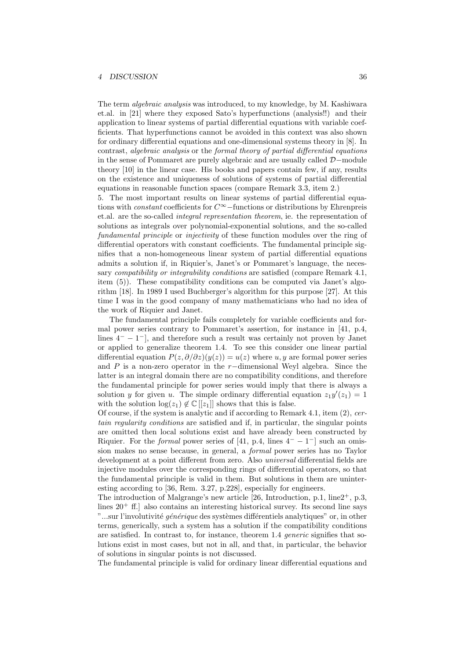The term algebraic analysis was introduced, to my knowledge, by M. Kashiwara et.al. in [21] where they exposed Sato's hyperfunctions (analysis!!) and their application to linear systems of partial differential equations with variable coefficients. That hyperfunctions cannot be avoided in this context was also shown for ordinary differential equations and one-dimensional systems theory in [8]. In contrast, algebraic analysis or the formal theory of partial differential equations in the sense of Pommaret are purely algebraic and are usually called D−module theory [10] in the linear case. His books and papers contain few, if any, results on the existence and uniqueness of solutions of systems of partial differential equations in reasonable function spaces (compare Remark 3.3, item 2.)

5. The most important results on linear systems of partial differential equations with *constant* coefficients for  $C^{\infty}$ −functions or distributions by Ehrenpreis et.al. are the so-called integral representation theorem, ie. the representation of solutions as integrals over polynomial-exponential solutions, and the so-called fundamental principle or injectivity of these function modules over the ring of differential operators with constant coefficients. The fundamental principle signifies that a non-homogeneous linear system of partial differential equations admits a solution if, in Riquier's, Janet's or Pommaret's language, the necessary *compatibility or integrability conditions* are satisfied (compare Remark 4.1, item (5)). These compatibility conditions can be computed via Janet's algorithm [18]. In 1989 I used Buchberger's algorithm for this purpose [27]. At this time I was in the good company of many mathematicians who had no idea of the work of Riquier and Janet.

The fundamental principle fails completely for variable coefficients and formal power series contrary to Pommaret's assertion, for instance in [41, p.4, lines  $4^- - 1^-$ , and therefore such a result was certainly not proven by Janet or applied to generalize theorem 1.4. To see this consider one linear partial differential equation  $P(z, \partial/\partial z)(y(z)) = u(z)$  where u, y are formal power series and P is a non-zero operator in the r−dimensional Weyl algebra. Since the latter is an integral domain there are no compatibility conditions, and therefore the fundamental principle for power series would imply that there is always a solution y for given u. The simple ordinary differential equation  $z_1y'(z_1) = 1$ with the solution  $\log(z_1) \notin \mathbb{C}[[z_1]]$  shows that this is false.

Of course, if the system is analytic and if according to Remark 4.1, item (2), certain regularity conditions are satisfied and if, in particular, the singular points are omitted then local solutions exist and have already been constructed by Riquier. For the *formal* power series of [41, p.4, lines  $4^- - 1^-$ ] such an omission makes no sense because, in general, a formal power series has no Taylor development at a point different from zero. Also universal differential fields are injective modules over the corresponding rings of differential operators, so that the fundamental principle is valid in them. But solutions in them are uninteresting according to [36, Rem. 3.27, p.228], especially for engineers.

The introduction of Malgrange's new article [26, Introduction, p.1,  $\text{line2}^+$ , p.3, lines  $20^+$  ff.] also contains an interesting historical survey. Its second line says "...sur l'involutivité *générique* des systèmes différentiels analytiques" or, in other terms, generically, such a system has a solution if the compatibility conditions are satisfied. In contrast to, for instance, theorem 1.4 generic signifies that solutions exist in most cases, but not in all, and that, in particular, the behavior of solutions in singular points is not discussed.

The fundamental principle is valid for ordinary linear differential equations and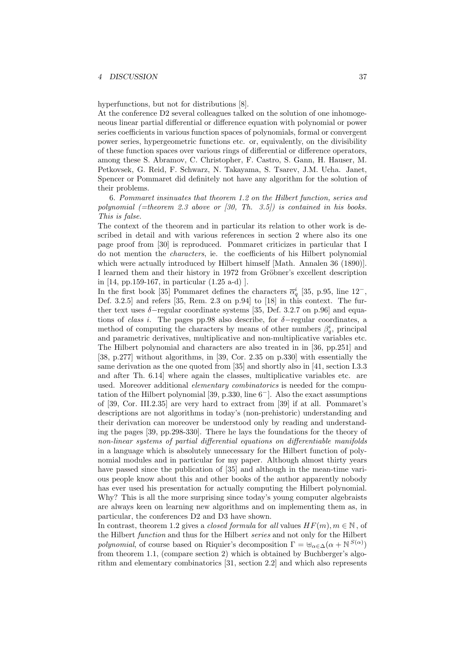hyperfunctions, but not for distributions [8].

At the conference D2 several colleagues talked on the solution of one inhomogeneous linear partial differential or difference equation with polynomial or power series coefficients in various function spaces of polynomials, formal or convergent power series, hypergeometric functions etc. or, equivalently, on the divisibility of these function spaces over various rings of differential or difference operators, among these S. Abramov, C. Christopher, F. Castro, S. Gann, H. Hauser, M. Petkovsek, G. Reid, F. Schwarz, N. Takayama, S. Tsarev, J.M. Ucha. Janet, Spencer or Pommaret did definitely not have any algorithm for the solution of their problems.

6. Pommaret insinuates that theorem 1.2 on the Hilbert function, series and polynomial (=theorem 2.3 above or  $(30, Th. 3.5)$ ) is contained in his books. This is false.

The context of the theorem and in particular its relation to other work is described in detail and with various references in section 2 where also its one page proof from [30] is reproduced. Pommaret criticizes in particular that I do not mention the characters, ie. the coefficients of his Hilbert polynomial which were actually introduced by Hilbert himself [Math. Annalen 36 (1890)]. I learned them and their history in 1972 from Gröbner's excellent description in [14, pp.159-167, in particular (1.25 a-d) ].

In the first book [35] Pommaret defines the characters  $\bar{\alpha}_q^i$  [35, p.95, line 12<sup>-</sup>, Def. 3.2.5] and refers [35, Rem. 2.3 on p.94] to [18] in this context. The further text uses  $\delta$ -regular coordinate systems [35, Def. 3.2.7 on p.96] and equations of *class i*. The pages pp.98 also describe, for  $\delta$ -regular coordinates, a method of computing the characters by means of other numbers  $\beta_q^i$ , principal and parametric derivatives, multiplicative and non-multiplicative variables etc. The Hilbert polynomial and characters are also treated in in [36, pp.251] and [38, p.277] without algorithms, in [39, Cor. 2.35 on p.330] with essentially the same derivation as the one quoted from [35] and shortly also in [41, section I.3.3 and after Th. 6.14] where again the classes, multiplicative variables etc. are used. Moreover additional *elementary combinatorics* is needed for the computation of the Hilbert polynomial [39, p.330, line 6<sup>−</sup>]. Also the exact assumptions of [39, Cor. III.2.35] are very hard to extract from [39] if at all. Pommaret's descriptions are not algorithms in today's (non-prehistoric) understanding and their derivation can moreover be understood only by reading and understanding the pages [39, pp.298-330]. There he lays the foundations for the theory of non-linear systems of partial differential equations on differentiable manifolds in a language which is absolutely unnecessary for the Hilbert function of polynomial modules and in particular for my paper. Although almost thirty years have passed since the publication of [35] and although in the mean-time various people know about this and other books of the author apparently nobody has ever used his presentation for actually computing the Hilbert polynomial. Why? This is all the more surprising since today's young computer algebraists are always keen on learning new algorithms and on implementing them as, in particular, the conferences D2 and D3 have shown.

In contrast, theorem 1.2 gives a *closed formula* for all values  $HF(m), m \in \mathbb{N}$ , of the Hilbert function and thus for the Hilbert series and not only for the Hilbert polynomial, of course based on Riquier's decomposition  $\Gamma = \biguplus_{\alpha \in \Delta} (\alpha + \mathbb{N}^{S(\alpha)})$ from theorem 1.1, (compare section 2) which is obtained by Buchberger's algorithm and elementary combinatorics [31, section 2.2] and which also represents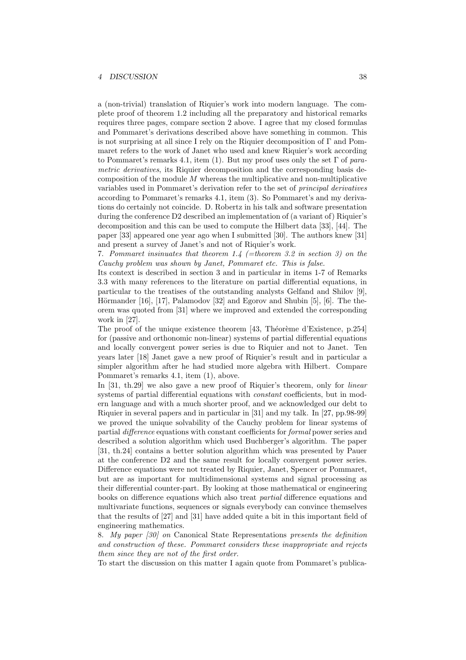a (non-trivial) translation of Riquier's work into modern language. The complete proof of theorem 1.2 including all the preparatory and historical remarks requires three pages, compare section 2 above. I agree that my closed formulas and Pommaret's derivations described above have something in common. This is not surprising at all since I rely on the Riquier decomposition of Γ and Pommaret refers to the work of Janet who used and knew Riquier's work according to Pommaret's remarks 4.1, item (1). But my proof uses only the set  $\Gamma$  of parametric derivatives, its Riquier decomposition and the corresponding basis decomposition of the module  $M$  whereas the multiplicative and non-multiplicative variables used in Pommaret's derivation refer to the set of principal derivatives according to Pommaret's remarks 4.1, item (3). So Pommaret's and my derivations do certainly not coincide. D. Robertz in his talk and software presentation during the conference D2 described an implementation of (a variant of) Riquier's decomposition and this can be used to compute the Hilbert data [33], [44]. The paper [33] appeared one year ago when I submitted [30]. The authors knew [31] and present a survey of Janet's and not of Riquier's work.

7. Pommaret insinuates that theorem 1.4 (=theorem 3.2 in section 3) on the Cauchy problem was shown by Janet, Pommaret etc. This is false.

Its context is described in section 3 and in particular in items 1-7 of Remarks 3.3 with many references to the literature on partial differential equations, in particular to the treatises of the outstanding analysts Gelfand and Shilov [9], Hörmander [16], [17], Palamodov [32] and Egorov and Shubin [5], [6]. The theorem was quoted from [31] where we improved and extended the corresponding work in [27].

The proof of the unique existence theorem  $[43,$  Théorème d'Existence, p.254] for (passive and orthonomic non-linear) systems of partial differential equations and locally convergent power series is due to Riquier and not to Janet. Ten years later [18] Janet gave a new proof of Riquier's result and in particular a simpler algorithm after he had studied more algebra with Hilbert. Compare Pommaret's remarks 4.1, item (1), above.

In [31, th.29] we also gave a new proof of Riquier's theorem, only for *linear* systems of partial differential equations with *constant* coefficients, but in modern language and with a much shorter proof, and we acknowledged our debt to Riquier in several papers and in particular in [31] and my talk. In [27, pp.98-99] we proved the unique solvability of the Cauchy problem for linear systems of partial difference equations with constant coefficients for formal power series and described a solution algorithm which used Buchberger's algorithm. The paper [31, th.24] contains a better solution algorithm which was presented by Pauer at the conference D2 and the same result for locally convergent power series. Difference equations were not treated by Riquier, Janet, Spencer or Pommaret, but are as important for multidimensional systems and signal processing as their differential counter-part. By looking at those mathematical or engineering books on difference equations which also treat partial difference equations and multivariate functions, sequences or signals everybody can convince themselves that the results of [27] and [31] have added quite a bit in this important field of engineering mathematics.

8. My paper [30] on Canonical State Representations presents the definition and construction of these. Pommaret considers these inappropriate and rejects them since they are not of the first order.

To start the discussion on this matter I again quote from Pommaret's publica-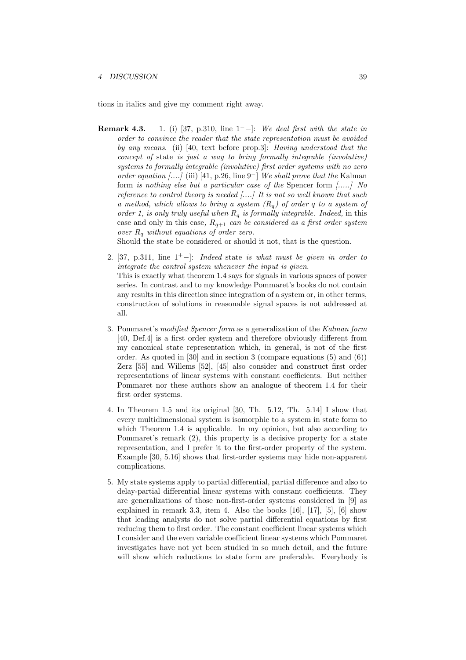tions in italics and give my comment right away.

**Remark 4.3.** 1. (i) [37, p.310, line  $1^-$ -]: We deal first with the state in order to convince the reader that the state representation must be avoided by any means. (ii) [40, text before prop.3]: Having understood that the concept of state is just a way to bring formally integrable (involutive) systems to formally integrable (involutive) first order systems with no zero order equation [....] (iii) [41, p.26, line  $9^-$ ] We shall prove that the Kalman form is nothing else but a particular case of the Spencer form [.....] No reference to control theory is needed  $[...]$  It is not so well known that such a method, which allows to bring a system  $(R_q)$  of order q to a system of order 1, is only truly useful when  $R_q$  is formally integrable. Indeed, in this case and only in this case,  $R_{q+1}$  can be considered as a first order system over  $R_q$  without equations of order zero.

Should the state be considered or should it not, that is the question.

- 2. [37, p.311, line  $1^+$ -]: Indeed state is what must be given in order to integrate the control system whenever the input is given. This is exactly what theorem 1.4 says for signals in various spaces of power series. In contrast and to my knowledge Pommaret's books do not contain any results in this direction since integration of a system or, in other terms, construction of solutions in reasonable signal spaces is not addressed at all.
- 3. Pommaret's modified Spencer form as a generalization of the Kalman form [40, Def.4] is a first order system and therefore obviously different from my canonical state representation which, in general, is not of the first order. As quoted in [30] and in section 3 (compare equations (5) and (6)) Zerz [55] and Willems [52], [45] also consider and construct first order representations of linear systems with constant coefficients. But neither Pommaret nor these authors show an analogue of theorem 1.4 for their first order systems.
- 4. In Theorem 1.5 and its original [30, Th. 5.12, Th. 5.14] I show that every multidimensional system is isomorphic to a system in state form to which Theorem 1.4 is applicable. In my opinion, but also according to Pommaret's remark (2), this property is a decisive property for a state representation, and I prefer it to the first-order property of the system. Example [30, 5.16] shows that first-order systems may hide non-apparent complications.
- 5. My state systems apply to partial differential, partial difference and also to delay-partial differential linear systems with constant coefficients. They are generalizations of those non-first-order systems considered in [9] as explained in remark 3.3, item 4. Also the books [16], [17], [5], [6] show that leading analysts do not solve partial differential equations by first reducing them to first order. The constant coefficient linear systems which I consider and the even variable coefficient linear systems which Pommaret investigates have not yet been studied in so much detail, and the future will show which reductions to state form are preferable. Everybody is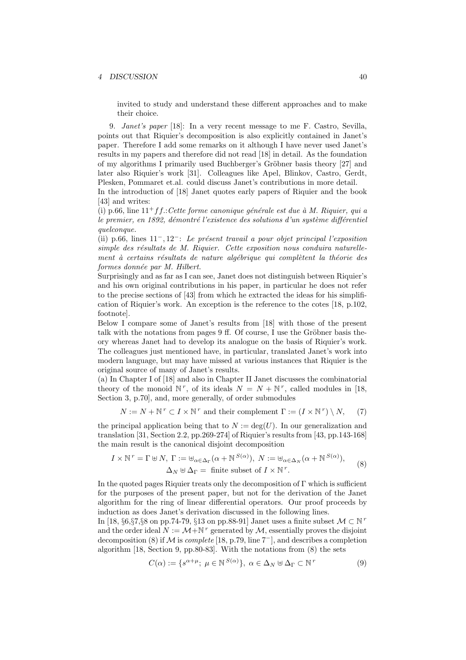invited to study and understand these different approaches and to make their choice.

9. Janet's paper [18]: In a very recent message to me F. Castro, Sevilla, points out that Riquier's decomposition is also explicitly contained in Janet's paper. Therefore I add some remarks on it although I have never used Janet's results in my papers and therefore did not read [18] in detail. As the foundation of my algorithms I primarily used Buchberger's Gröbner basis theory [27] and later also Riquier's work [31]. Colleagues like Apel, Blinkov, Castro, Gerdt, Plesken, Pommaret et.al. could discuss Janet's contributions in more detail.

In the introduction of [18] Janet quotes early papers of Riquier and the book [43] and writes:

(i) p.66, line  $11^+$ f f.: Cette forme canonique générale est due à M. Riquier, qui a le premier, en 1892, démontré l'existence des solutions d'un système différentiel quelconque.

(ii) p.66, lines  $11^-, 12^-$ : Le présent travail a pour objet principal l'exposition simple des résultats de M. Riquier. Cette exposition nous conduira naturellement à certains résultats de nature algébrique qui complètent la théorie des formes donnée par M. Hilbert.

Surprisingly and as far as I can see, Janet does not distinguish between Riquier's and his own original contributions in his paper, in particular he does not refer to the precise sections of [43] from which he extracted the ideas for his simplification of Riquier's work. An exception is the reference to the cotes [18, p.102, footnote].

Below I compare some of Janet's results from [18] with those of the present talk with the notations from pages  $9 \text{ ff.}$  Of course, I use the Gröbner basis theory whereas Janet had to develop its analogue on the basis of Riquier's work. The colleagues just mentioned have, in particular, translated Janet's work into modern language, but may have missed at various instances that Riquier is the original source of many of Janet's results.

(a) In Chapter I of [18] and also in Chapter II Janet discusses the combinatorial theory of the monoid  $\mathbb{N}^r$ , of its ideals  $N = N + \mathbb{N}^r$ , called modules in [18, Section 3, p.70], and, more generally, of order submodules

$$
N := N + \mathbb{N}^r \subset I \times \mathbb{N}^r
$$
 and their complement  $\Gamma := (I \times \mathbb{N}^r) \setminus N,$  (7)

the principal application being that to  $N := \deg(U)$ . In our generalization and translation [31, Section 2.2, pp.269-274] of Riquier's results from [43, pp.143-168] the main result is the canonical disjoint decomposition

$$
I \times \mathbb{N}^r = \Gamma \oplus N, \ \Gamma := \oplus_{\alpha \in \Delta_{\Gamma}} (\alpha + \mathbb{N}^{S(\alpha)}), \ N := \oplus_{\alpha \in \Delta_N} (\alpha + \mathbb{N}^{S(\alpha)}),
$$
  

$$
\Delta_N \oplus \Delta_{\Gamma} = \text{finite subset of } I \times \mathbb{N}^r.
$$
 (8)

In the quoted pages Riquier treats only the decomposition of  $\Gamma$  which is sufficient for the purposes of the present paper, but not for the derivation of the Janet algorithm for the ring of linear differential operators. Our proof proceeds by induction as does Janet's derivation discussed in the following lines.

In [18, §6,§7,§8 on pp.74-79, §13 on pp.88-91] Janet uses a finite subset  $\mathcal{M} \subset \mathbb{N}^r$ and the order ideal  $N := \mathcal{M} + \mathbb{N}^r$  generated by  $\mathcal{M}$ , essentially proves the disjoint decomposition (8) if M is *complete* [18, p.79, line  $7^-$ ], and describes a completion algorithm [18, Section 9, pp.80-83]. With the notations from (8) the sets

$$
C(\alpha) := \{ s^{\alpha + \mu}; \ \mu \in \mathbb{N}^{S(\alpha)} \}, \ \alpha \in \Delta_N \oplus \Delta_\Gamma \subset \mathbb{N}^r \tag{9}
$$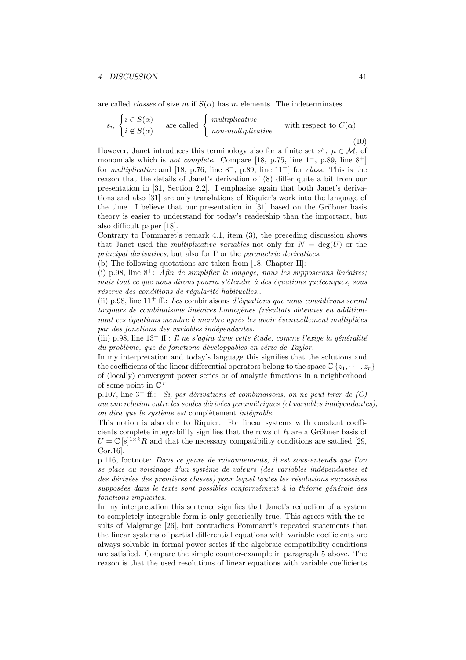are called *classes* of size m if  $S(\alpha)$  has m elements. The indeterminates

$$
s_i, \begin{cases} i \in S(\alpha) \\ i \notin S(\alpha) \end{cases} \text{ are called } \begin{cases} \text{multiplicative} \\ \text{non-multiplicative} \end{cases} \text{ with respect to } C(\alpha). \tag{10}
$$

However, Janet introduces this terminology also for a finite set  $s^{\mu}$ ,  $\mu \in \mathcal{M}$ , of monomials which is *not complete.* Compare [18, p.75, line  $1^-$ , p.89, line  $8^+$ ] for *multiplicative* and [18, p.76, line  $8^-$ , p.89, line  $11^+$ ] for *class*. This is the reason that the details of Janet's derivation of (8) differ quite a bit from our presentation in [31, Section 2.2]. I emphasize again that both Janet's derivations and also [31] are only translations of Riquier's work into the language of the time. I believe that our presentation in  $[31]$  based on the Gröbner basis theory is easier to understand for today's readership than the important, but also difficult paper [18].

Contrary to Pommaret's remark 4.1, item (3), the preceding discussion shows that Janet used the *multiplicative variables* not only for  $N = \deg(U)$  or the *principal derivatives*, but also for  $\Gamma$  or the *parametric derivatives*.

(b) The following quotations are taken from [18, Chapter II]:

(i) p.98, line  $8^+$ ; Afin de simplifier le language, nous les supposerons linéaires; mais tout ce que nous dirons pourra s'étendre à des équations quelconques, sous réserve des conditions de régularité habituelles..

(ii) p.98, line  $11^+$  ff.: Les combinaisons d'équations que nous considérons seront toujours de combinaisons linéaires homogènes (résultats obtenues en additionnant ces équations membre à membre après les avoir éventuellement multipliées par des fonctions des variables indépendantes.

(iii) p.98, line  $13^-$  ff.: Il ne s'agira dans cette étude, comme l'exige la généralité  $du$  problème, que de fonctions développables en série de Taylor.

In my interpretation and today's language this signifies that the solutions and the coefficients of the linear differential operators belong to the space  $\mathbb{C}\left\{z_1,\dots,z_r\right\}$ of (locally) convergent power series or of analytic functions in a neighborhood of some point in  $\mathbb{C}^r$ .

p.107, line  $3^+$  ff.: Si, par dérivations et combinaisons, on ne peut tirer de  $(C)$ aucune relation entre les seules dérivées paramétriques (et variables indépendantes), on dira que le système est complètement intégrable.

This notion is also due to Riquier. For linear systems with constant coefficients complete integrability signifies that the rows of  $R$  are a Gröbner basis of  $U = \mathbb{C}[s]^{1 \times k}R$  and that the necessary compatibility conditions are satified [29, Cor.16].

p.116, footnote: Dans ce genre de raisonnements, il est sous-entendu que l'on se place au voisinage d'un système de valeurs (des variables indépendantes et des dérivées des premières classes) pour lequel toutes les résolutions successives supposées dans le texte sont possibles conformément à la théorie générale des fonctions implicites.

In my interpretation this sentence signifies that Janet's reduction of a system to completely integrable form is only generically true. This agrees with the results of Malgrange [26], but contradicts Pommaret's repeated statements that the linear systems of partial differential equations with variable coefficients are always solvable in formal power series if the algebraic compatibility conditions are satisfied. Compare the simple counter-example in paragraph 5 above. The reason is that the used resolutions of linear equations with variable coefficients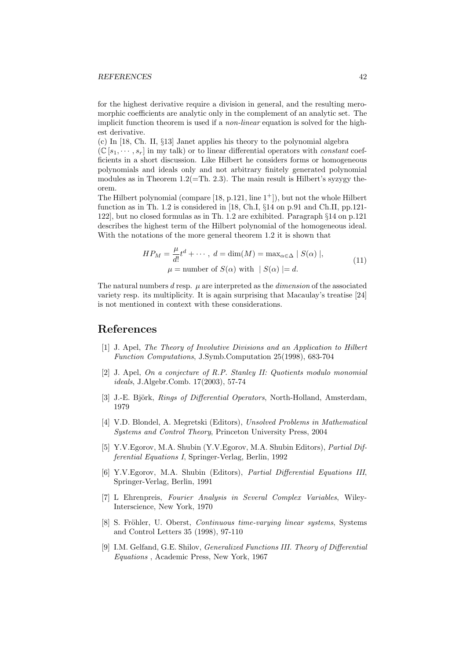#### REFERENCES 42

for the highest derivative require a division in general, and the resulting meromorphic coefficients are analytic only in the complement of an analytic set. The implicit function theorem is used if a *non-linear* equation is solved for the highest derivative.

(c) In [18, Ch. II, §13] Janet applies his theory to the polynomial algebra  $(\mathbb{C}[s_1,\dots,s_r])$  in my talk) or to linear differential operators with *constant* coefficients in a short discussion. Like Hilbert he considers forms or homogeneous polynomials and ideals only and not arbitrary finitely generated polynomial modules as in Theorem  $1.2(=\text{Th. } 2.3)$ . The main result is Hilbert's syzygy theorem.

The Hilbert polynomial (compare  $[18, p.121, \text{line } 1^+]$ ), but not the whole Hilbert function as in Th. 1.2 is considered in [18, Ch.I, §14 on p.91 and Ch.II, pp.121- 122], but no closed formulas as in Th. 1.2 are exhibited. Paragraph §14 on p.121 describes the highest term of the Hilbert polynomial of the homogeneous ideal. With the notations of the more general theorem 1.2 it is shown that

$$
HP_M = \frac{\mu}{d!} t^d + \cdots, \ d = \dim(M) = \max_{\alpha \in \Delta} | S(\alpha) |,
$$
  

$$
\mu = \text{number of } S(\alpha) \text{ with } | S(\alpha) | = d.
$$
 (11)

The natural numbers  $d$  resp.  $\mu$  are interpreted as the *dimension* of the associated variety resp. its multiplicity. It is again surprising that Macaulay's treatise [24] is not mentioned in context with these considerations.

### References

- [1] J. Apel, The Theory of Involutive Divisions and an Application to Hilbert Function Computations, J.Symb.Computation 25(1998), 683-704
- [2] J. Apel, On a conjecture of R.P. Stanley II: Quotients modulo monomial ideals, J.Algebr.Comb. 17(2003), 57-74
- [3] J.-E. Björk, *Rings of Differential Operators*, North-Holland, Amsterdam, 1979
- [4] V.D. Blondel, A. Megretski (Editors), Unsolved Problems in Mathematical Systems and Control Theory, Princeton University Press, 2004
- [5] Y.V.Egorov, M.A. Shubin (Y.V.Egorov, M.A. Shubin Editors), Partial Differential Equations I, Springer-Verlag, Berlin, 1992
- [6] Y.V.Egorov, M.A. Shubin (Editors), Partial Differential Equations III, Springer-Verlag, Berlin, 1991
- [7] L Ehrenpreis, Fourier Analysis in Several Complex Variables, Wiley-Interscience, New York, 1970
- [8] S. Fröhler, U. Oberst, Continuous time-varying linear systems, Systems and Control Letters 35 (1998), 97-110
- [9] I.M. Gelfand, G.E. Shilov, Generalized Functions III. Theory of Differential Equations , Academic Press, New York, 1967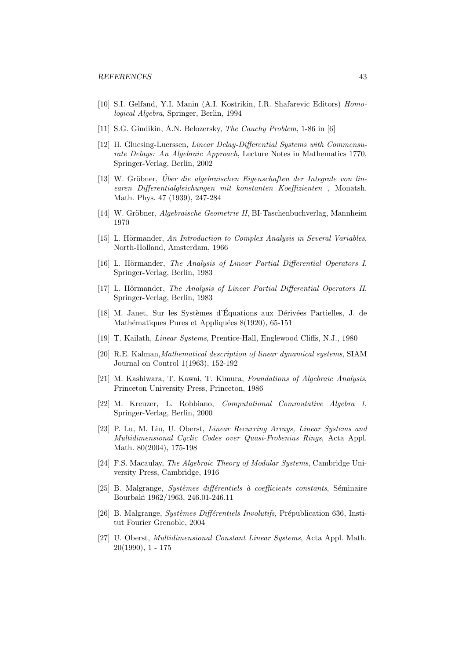- [10] S.I. Gelfand, Y.I. Manin (A.I. Kostrikin, I.R. Shafarevic Editors) Homological Algebra, Springer, Berlin, 1994
- [11] S.G. Gindikin, A.N. Belozersky, *The Cauchy Problem*, 1-86 in [6]
- [12] H. Gluesing-Luerssen, Linear Delay-Differential Systems with Commensurate Delays: An Algebraic Approach, Lecture Notes in Mathematics 1770, Springer-Verlag, Berlin, 2002
- [13] W. Gröbner, Über die algebraischen Eigenschaften der Integrale von linearen Differentialgleichungen mit konstanten Koeffizienten , Monatsh. Math. Phys. 47 (1939), 247-284
- [14] W. Gröbner, *Algebraische Geometrie II*, BI-Taschenbuchverlag, Mannheim 1970
- [15] L. Hörmander, An Introduction to Complex Analysis in Several Variables, North-Holland, Amsterdam, 1966
- [16] L. Hörmander, The Analysis of Linear Partial Differential Operators I, Springer-Verlag, Berlin, 1983
- [17] L. Hörmander, The Analysis of Linear Partial Differential Operators II, Springer-Verlag, Berlin, 1983
- [18] M. Janet, Sur les Systèmes d'Équations aux Dérivées Partielles, J. de Mathématiques Pures et Appliquées 8(1920), 65-151
- [19] T. Kailath, Linear Systems, Prentice-Hall, Englewood Cliffs, N.J., 1980
- [20] R.E. Kalman,Mathematical description of linear dynamical systems, SIAM Journal on Control 1(1963), 152-192
- [21] M. Kashiwara, T. Kawai, T. Kimura, Foundations of Algebraic Analysis, Princeton University Press, Princeton, 1986
- [22] M. Kreuzer, L. Robbiano, Computational Commutative Algebra 1, Springer-Verlag, Berlin, 2000
- [23] P. Lu, M. Liu, U. Oberst, Linear Recurring Arrays, Linear Systems and Multidimensional Cyclic Codes over Quasi-Frobenius Rings, Acta Appl. Math. 80(2004), 175-198
- [24] F.S. Macaulay, The Algebraic Theory of Modular Systems, Cambridge University Press, Cambridge, 1916
- $[25]$  B. Malgrange, *Systèmes différentiels* à *coefficients constants*, Séminaire Bourbaki 1962/1963, 246.01-246.11
- [26] B. Malgrange, Systèmes Différentiels Involutifs, Prépublication 636, Institut Fourier Grenoble, 2004
- [27] U. Oberst, Multidimensional Constant Linear Systems, Acta Appl. Math. 20(1990), 1 - 175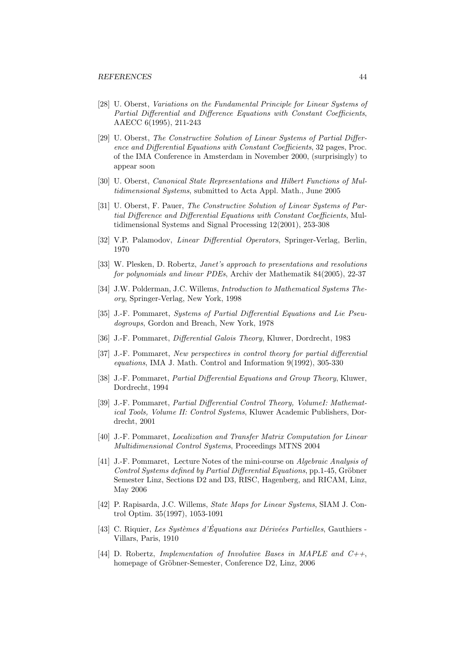#### REFERENCES 44

- [28] U. Oberst, Variations on the Fundamental Principle for Linear Systems of Partial Differential and Difference Equations with Constant Coefficients, AAECC 6(1995), 211-243
- [29] U. Oberst, The Constructive Solution of Linear Systems of Partial Difference and Differential Equations with Constant Coefficients, 32 pages, Proc. of the IMA Conference in Amsterdam in November 2000, (surprisingly) to appear soon
- [30] U. Oberst, Canonical State Representations and Hilbert Functions of Multidimensional Systems, submitted to Acta Appl. Math., June 2005
- [31] U. Oberst, F. Pauer, The Constructive Solution of Linear Systems of Partial Difference and Differential Equations with Constant Coefficients, Multidimensional Systems and Signal Processing 12(2001), 253-308
- [32] V.P. Palamodov, *Linear Differential Operators*, Springer-Verlag, Berlin, 1970
- [33] W. Plesken, D. Robertz, Janet's approach to presentations and resolutions for polynomials and linear PDEs, Archiv der Mathematik 84(2005), 22-37
- [34] J.W. Polderman, J.C. Willems, *Introduction to Mathematical Systems The*ory, Springer-Verlag, New York, 1998
- [35] J.-F. Pommaret, Systems of Partial Differential Equations and Lie Pseudogroups, Gordon and Breach, New York, 1978
- [36] J.-F. Pommaret, Differential Galois Theory, Kluwer, Dordrecht, 1983
- [37] J.-F. Pommaret, New perspectives in control theory for partial differential equations, IMA J. Math. Control and Information 9(1992), 305-330
- [38] J.-F. Pommaret, *Partial Differential Equations and Group Theory*, Kluwer, Dordrecht, 1994
- [39] J.-F. Pommaret, Partial Differential Control Theory, VolumeI: Mathematical Tools, Volume II: Control Systems, Kluwer Academic Publishers, Dordrecht, 2001
- [40] J.-F. Pommaret, Localization and Transfer Matrix Computation for Linear Multidimensional Control Systems, Proceedings MTNS 2004
- [41] J.-F. Pommaret, Lecture Notes of the mini-course on Algebraic Analysis of Control Systems defined by Partial Differential Equations, pp. 1-45, Gröbner Semester Linz, Sections D2 and D3, RISC, Hagenberg, and RICAM, Linz, May 2006
- [42] P. Rapisarda, J.C. Willems, *State Maps for Linear Systems*, SIAM J. Control Optim. 35(1997), 1053-1091
- [43] C. Riquier, Les Systèmes d'Équations aux Dérivées Partielles, Gauthiers -Villars, Paris, 1910
- [44] D. Robertz, Implementation of Involutive Bases in MAPLE and  $C_{++}$ , homepage of Gröbner-Semester, Conference D2, Linz, 2006